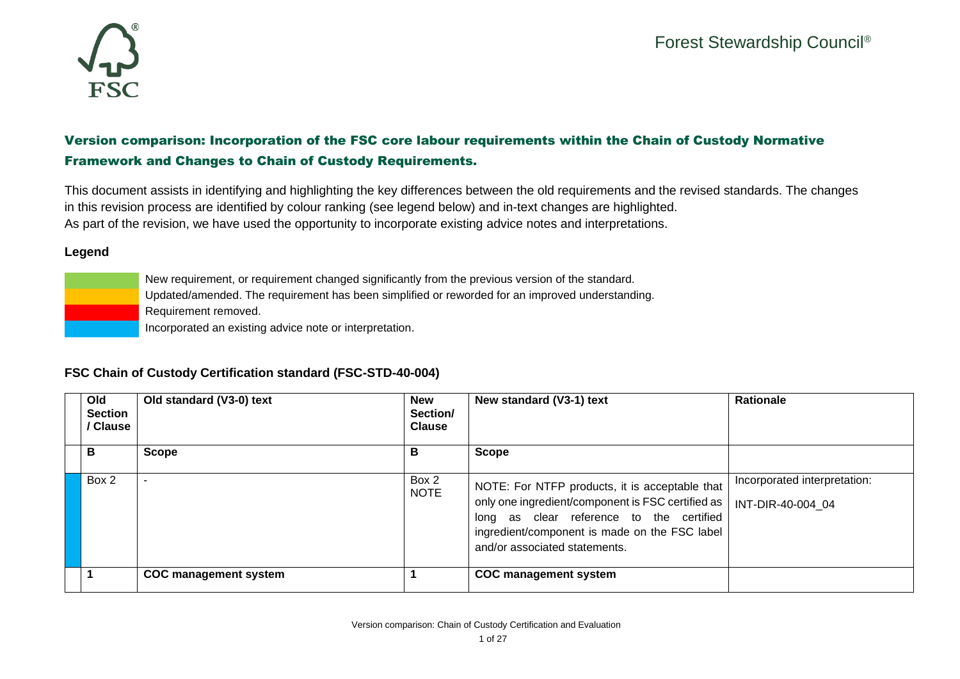

## Version comparison: Incorporation of the FSC core labour requirements within the Chain of Custody Normative Framework and Changes to Chain of Custody Requirements.

This document assists in identifying and highlighting the key differences between the old requirements and the revised standards. The changes in this revision process are identified by colour ranking (see legend below) and in-text changes are highlighted. As part of the revision, we have used the opportunity to incorporate existing advice notes and interpretations.

## **Legend**

New requirement, or requirement changed significantly from the previous version of the standard.

Updated/amended. The requirement has been simplified or reworded for an improved understanding.

Requirement removed.

Incorporated an existing advice note or interpretation.

## **FSC Chain of Custody Certification standard (FSC-STD-40-004)**

| Old<br><b>Section</b><br>/ Clause | Old standard (V3-0) text     | <b>New</b><br>Section/<br><b>Clause</b> | New standard (V3-1) text                                                                                                                                                                                                          | <b>Rationale</b>                                  |
|-----------------------------------|------------------------------|-----------------------------------------|-----------------------------------------------------------------------------------------------------------------------------------------------------------------------------------------------------------------------------------|---------------------------------------------------|
| B                                 | <b>Scope</b>                 | В                                       | <b>Scope</b>                                                                                                                                                                                                                      |                                                   |
| Box 2                             |                              | Box 2<br><b>NOTE</b>                    | NOTE: For NTFP products, it is acceptable that<br>only one ingredient/component is FSC certified as<br>long as clear reference to the certified<br>ingredient/component is made on the FSC label<br>and/or associated statements. | Incorporated interpretation:<br>INT-DIR-40-004 04 |
|                                   | <b>COC</b> management system |                                         | <b>COC</b> management system                                                                                                                                                                                                      |                                                   |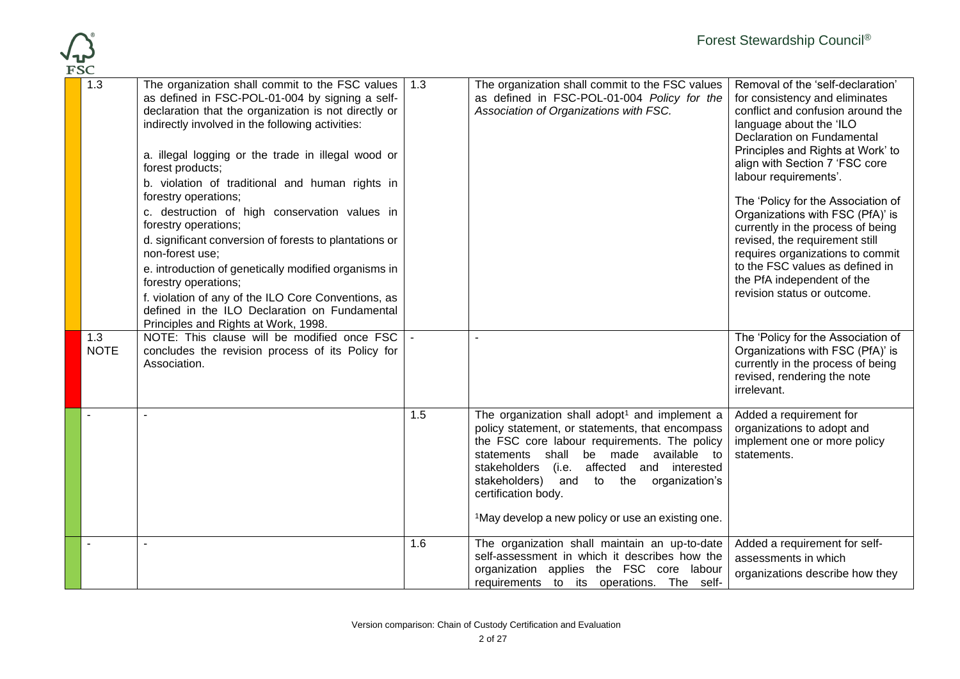

| エつー |                    |                                                                                                                                                                                                                                                                                                                                                                                                                                                                                                                                                                                                                                                                                                                                                                 |     |                                                                                                                                                                                                                                                                                                                                                                                           |                                                                                                                                                                                                                                                                                                                                                                                                                                                                                                                                                        |
|-----|--------------------|-----------------------------------------------------------------------------------------------------------------------------------------------------------------------------------------------------------------------------------------------------------------------------------------------------------------------------------------------------------------------------------------------------------------------------------------------------------------------------------------------------------------------------------------------------------------------------------------------------------------------------------------------------------------------------------------------------------------------------------------------------------------|-----|-------------------------------------------------------------------------------------------------------------------------------------------------------------------------------------------------------------------------------------------------------------------------------------------------------------------------------------------------------------------------------------------|--------------------------------------------------------------------------------------------------------------------------------------------------------------------------------------------------------------------------------------------------------------------------------------------------------------------------------------------------------------------------------------------------------------------------------------------------------------------------------------------------------------------------------------------------------|
|     | 1.3                | The organization shall commit to the FSC values   1.3<br>as defined in FSC-POL-01-004 by signing a self-<br>declaration that the organization is not directly or<br>indirectly involved in the following activities:<br>a. illegal logging or the trade in illegal wood or<br>forest products;<br>b. violation of traditional and human rights in<br>forestry operations;<br>c. destruction of high conservation values in<br>forestry operations;<br>d. significant conversion of forests to plantations or<br>non-forest use;<br>e. introduction of genetically modified organisms in<br>forestry operations;<br>f. violation of any of the ILO Core Conventions, as<br>defined in the ILO Declaration on Fundamental<br>Principles and Rights at Work, 1998. |     | The organization shall commit to the FSC values<br>as defined in FSC-POL-01-004 Policy for the<br>Association of Organizations with FSC.                                                                                                                                                                                                                                                  | Removal of the 'self-declaration'<br>for consistency and eliminates<br>conflict and confusion around the<br>language about the 'ILO<br>Declaration on Fundamental<br>Principles and Rights at Work' to<br>align with Section 7 'FSC core<br>labour requirements'.<br>The 'Policy for the Association of<br>Organizations with FSC (PfA)' is<br>currently in the process of being<br>revised, the requirement still<br>requires organizations to commit<br>to the FSC values as defined in<br>the PfA independent of the<br>revision status or outcome. |
|     | 1.3<br><b>NOTE</b> | NOTE: This clause will be modified once FSC   -<br>concludes the revision process of its Policy for<br>Association.                                                                                                                                                                                                                                                                                                                                                                                                                                                                                                                                                                                                                                             |     |                                                                                                                                                                                                                                                                                                                                                                                           | The 'Policy for the Association of<br>Organizations with FSC (PfA)' is<br>currently in the process of being<br>revised, rendering the note<br>irrelevant.                                                                                                                                                                                                                                                                                                                                                                                              |
|     |                    |                                                                                                                                                                                                                                                                                                                                                                                                                                                                                                                                                                                                                                                                                                                                                                 | 1.5 | The organization shall adopt <sup>1</sup> and implement a<br>policy statement, or statements, that encompass<br>the FSC core labour requirements. The policy<br>statements shall be made available to<br>(i.e. affected and interested<br>stakeholders<br>stakeholders) and to the organization's<br>certification body.<br><sup>1</sup> May develop a new policy or use an existing one. | Added a requirement for<br>organizations to adopt and<br>implement one or more policy<br>statements.                                                                                                                                                                                                                                                                                                                                                                                                                                                   |
|     |                    |                                                                                                                                                                                                                                                                                                                                                                                                                                                                                                                                                                                                                                                                                                                                                                 | 1.6 | The organization shall maintain an up-to-date<br>self-assessment in which it describes how the<br>organization applies the FSC core labour<br>requirements to its operations. The self-                                                                                                                                                                                                   | Added a requirement for self-<br>assessments in which<br>organizations describe how they                                                                                                                                                                                                                                                                                                                                                                                                                                                               |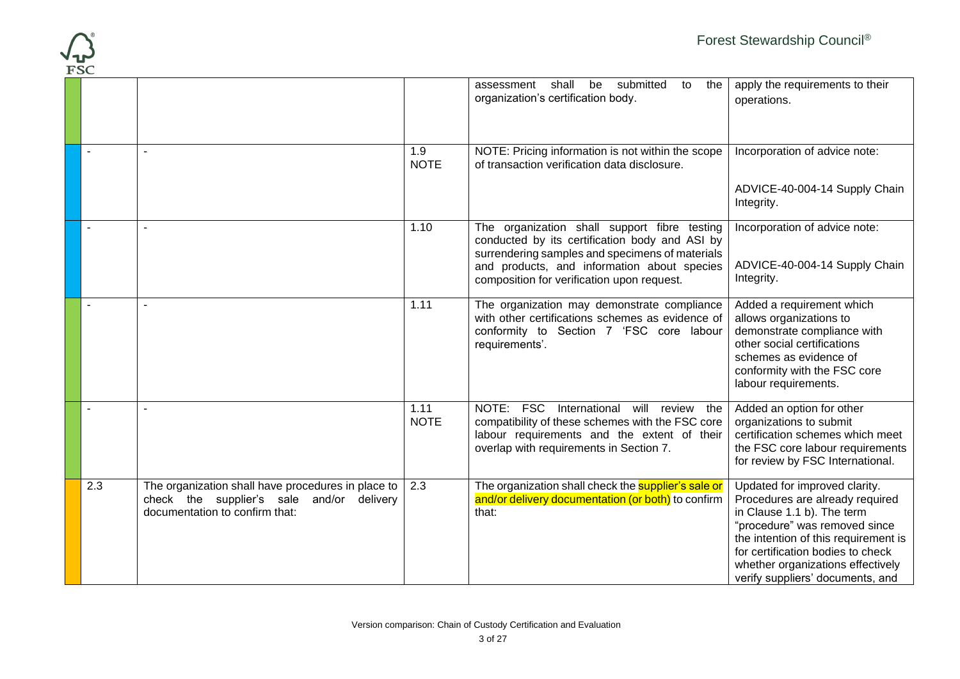| $\overline{\textbf{FSC}}$ |                                                                                                                                   |                     |                                                                                                                                                                                                                                                | Forest Stewardship Council®                                                                                                                                                                                                                                                           |
|---------------------------|-----------------------------------------------------------------------------------------------------------------------------------|---------------------|------------------------------------------------------------------------------------------------------------------------------------------------------------------------------------------------------------------------------------------------|---------------------------------------------------------------------------------------------------------------------------------------------------------------------------------------------------------------------------------------------------------------------------------------|
|                           |                                                                                                                                   |                     | assessment<br>shall<br>be<br>submitted<br>to<br>the<br>organization's certification body.                                                                                                                                                      | apply the requirements to their<br>operations.                                                                                                                                                                                                                                        |
|                           | $\blacksquare$                                                                                                                    | 1.9<br><b>NOTE</b>  | NOTE: Pricing information is not within the scope<br>of transaction verification data disclosure.                                                                                                                                              | Incorporation of advice note:<br>ADVICE-40-004-14 Supply Chain                                                                                                                                                                                                                        |
|                           |                                                                                                                                   |                     |                                                                                                                                                                                                                                                | Integrity.                                                                                                                                                                                                                                                                            |
|                           |                                                                                                                                   | 1.10                | The organization shall support fibre testing<br>conducted by its certification body and ASI by<br>surrendering samples and specimens of materials<br>and products, and information about species<br>composition for verification upon request. | Incorporation of advice note:<br>ADVICE-40-004-14 Supply Chain<br>Integrity.                                                                                                                                                                                                          |
|                           | $\mathbf{r}$                                                                                                                      | 1.11                | The organization may demonstrate compliance<br>with other certifications schemes as evidence of<br>conformity to Section 7 'FSC core labour<br>requirements'.                                                                                  | Added a requirement which<br>allows organizations to<br>demonstrate compliance with<br>other social certifications<br>schemes as evidence of<br>conformity with the FSC core<br>labour requirements.                                                                                  |
|                           |                                                                                                                                   | 1.11<br><b>NOTE</b> | NOTE: FSC International will review<br>the<br>compatibility of these schemes with the FSC core<br>labour requirements and the extent of their<br>overlap with requirements in Section 7.                                                       | Added an option for other<br>organizations to submit<br>certification schemes which meet<br>the FSC core labour requirements<br>for review by FSC International.                                                                                                                      |
| 2.3                       | The organization shall have procedures in place to<br>check the supplier's sale and/or delivery<br>documentation to confirm that: | 2.3                 | The organization shall check the <b>supplier's sale or</b><br>and/or delivery documentation (or both) to confirm<br>that:                                                                                                                      | Updated for improved clarity.<br>Procedures are already required<br>in Clause 1.1 b). The term<br>"procedure" was removed since<br>the intention of this requirement is<br>for certification bodies to check<br>whether organizations effectively<br>verify suppliers' documents, and |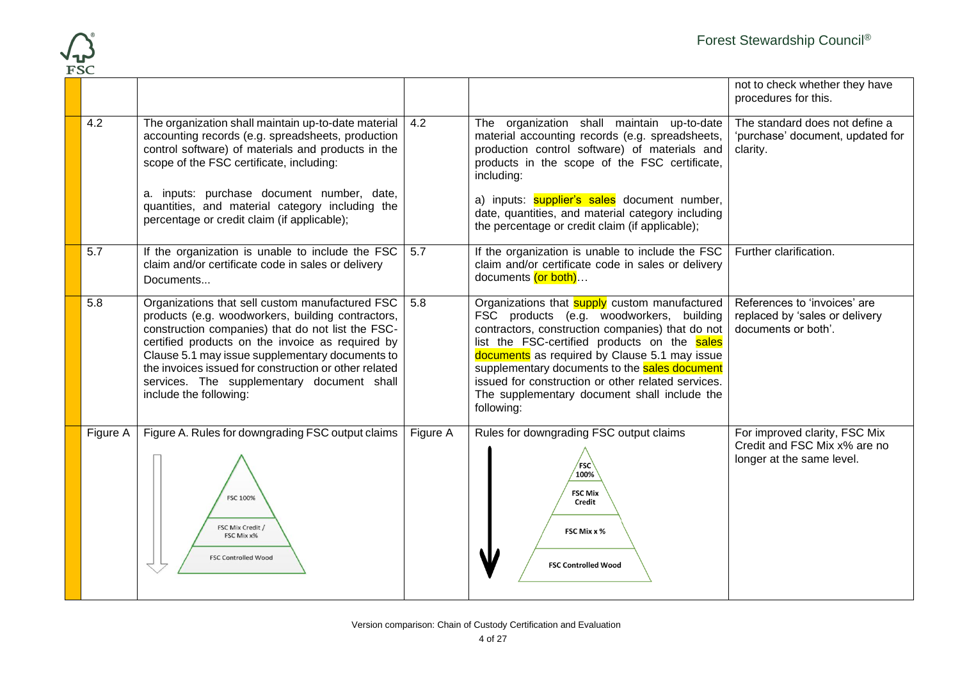

|          |                                                                                                                                                                                                                                                                                                                                                                                                   |          |                                                                                                                                                                                                                                                                                                                                                                                                                            | not to check whether they have<br>procedures for this.                                     |
|----------|---------------------------------------------------------------------------------------------------------------------------------------------------------------------------------------------------------------------------------------------------------------------------------------------------------------------------------------------------------------------------------------------------|----------|----------------------------------------------------------------------------------------------------------------------------------------------------------------------------------------------------------------------------------------------------------------------------------------------------------------------------------------------------------------------------------------------------------------------------|--------------------------------------------------------------------------------------------|
| 4.2      | The organization shall maintain up-to-date material<br>accounting records (e.g. spreadsheets, production<br>control software) of materials and products in the<br>scope of the FSC certificate, including:                                                                                                                                                                                        | 4.2      | The organization shall maintain up-to-date<br>material accounting records (e.g. spreadsheets,<br>production control software) of materials and<br>products in the scope of the FSC certificate,<br>including:                                                                                                                                                                                                              | The standard does not define a<br>'purchase' document, updated for<br>clarity.             |
|          | a. inputs: purchase document number, date,<br>quantities, and material category including the<br>percentage or credit claim (if applicable);                                                                                                                                                                                                                                                      |          | a) inputs: <b>supplier's sales</b> document number,<br>date, quantities, and material category including<br>the percentage or credit claim (if applicable);                                                                                                                                                                                                                                                                |                                                                                            |
| 5.7      | If the organization is unable to include the FSC<br>claim and/or certificate code in sales or delivery<br>Documents                                                                                                                                                                                                                                                                               | 5.7      | If the organization is unable to include the FSC<br>claim and/or certificate code in sales or delivery<br>documents (or both)                                                                                                                                                                                                                                                                                              | Further clarification.                                                                     |
| 5.8      | Organizations that sell custom manufactured FSC<br>products (e.g. woodworkers, building contractors,<br>construction companies) that do not list the FSC-<br>certified products on the invoice as required by<br>Clause 5.1 may issue supplementary documents to<br>the invoices issued for construction or other related<br>services. The supplementary document shall<br>include the following: | 5.8      | Organizations that <b>supply</b> custom manufactured<br>FSC products (e.g. woodworkers, building<br>contractors, construction companies) that do not<br>list the FSC-certified products on the sales<br>documents as required by Clause 5.1 may issue<br>supplementary documents to the sales document<br>issued for construction or other related services.<br>The supplementary document shall include the<br>following: | References to 'invoices' are<br>replaced by 'sales or delivery<br>documents or both'.      |
| Figure A | Figure A. Rules for downgrading FSC output claims<br><b>FSC 100%</b><br>FSC Mix Credit /<br>FSC Mix x%<br><b>FSC Controlled Wood</b>                                                                                                                                                                                                                                                              | Figure A | Rules for downgrading FSC output claims<br>$\sqrt{FSC}$<br>100%<br><b>FSC Mix</b><br>Credit<br>FSC Mix x %<br><b>FSC Controlled Wood</b>                                                                                                                                                                                                                                                                                   | For improved clarity, FSC Mix<br>Credit and FSC Mix x% are no<br>longer at the same level. |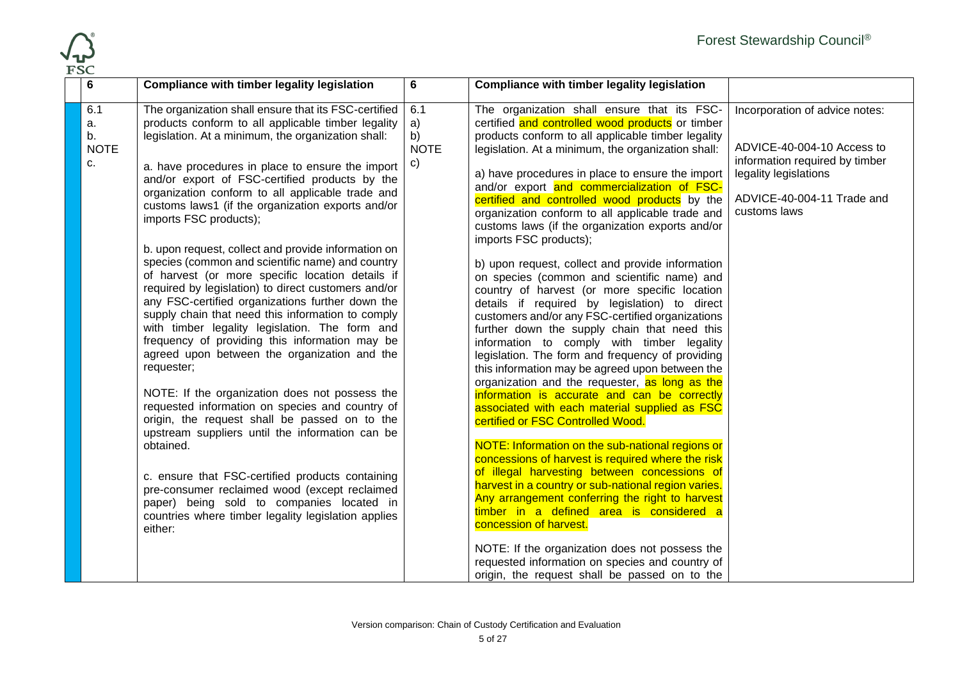

| ドンピ                                  |                                                                                                                                                                                                                                                                                                                                                                                                                                                                                                                                                                                                                                                                                                                                                                                                                                                                                                                                                                                                                                                                                                                                                                                                                                                                                                                                                      |                                                 |                                                                                                                                                                                                                                                                                                                                                                                                                                                                                                                                                                                                                                                                                                                                                                                                                                                                                                                                                                                                                                                                                                                                                                                                                                                                                                                                                                                                                                                                                                                                                                                                                                                        |                                                                                                                                                                       |
|--------------------------------------|------------------------------------------------------------------------------------------------------------------------------------------------------------------------------------------------------------------------------------------------------------------------------------------------------------------------------------------------------------------------------------------------------------------------------------------------------------------------------------------------------------------------------------------------------------------------------------------------------------------------------------------------------------------------------------------------------------------------------------------------------------------------------------------------------------------------------------------------------------------------------------------------------------------------------------------------------------------------------------------------------------------------------------------------------------------------------------------------------------------------------------------------------------------------------------------------------------------------------------------------------------------------------------------------------------------------------------------------------|-------------------------------------------------|--------------------------------------------------------------------------------------------------------------------------------------------------------------------------------------------------------------------------------------------------------------------------------------------------------------------------------------------------------------------------------------------------------------------------------------------------------------------------------------------------------------------------------------------------------------------------------------------------------------------------------------------------------------------------------------------------------------------------------------------------------------------------------------------------------------------------------------------------------------------------------------------------------------------------------------------------------------------------------------------------------------------------------------------------------------------------------------------------------------------------------------------------------------------------------------------------------------------------------------------------------------------------------------------------------------------------------------------------------------------------------------------------------------------------------------------------------------------------------------------------------------------------------------------------------------------------------------------------------------------------------------------------------|-----------------------------------------------------------------------------------------------------------------------------------------------------------------------|
| 6                                    | Compliance with timber legality legislation                                                                                                                                                                                                                                                                                                                                                                                                                                                                                                                                                                                                                                                                                                                                                                                                                                                                                                                                                                                                                                                                                                                                                                                                                                                                                                          | 6                                               | <b>Compliance with timber legality legislation</b>                                                                                                                                                                                                                                                                                                                                                                                                                                                                                                                                                                                                                                                                                                                                                                                                                                                                                                                                                                                                                                                                                                                                                                                                                                                                                                                                                                                                                                                                                                                                                                                                     |                                                                                                                                                                       |
| 6.1<br>a.<br>b.<br><b>NOTE</b><br>c. | The organization shall ensure that its FSC-certified<br>products conform to all applicable timber legality<br>legislation. At a minimum, the organization shall:<br>a. have procedures in place to ensure the import<br>and/or export of FSC-certified products by the<br>organization conform to all applicable trade and<br>customs laws1 (if the organization exports and/or<br>imports FSC products);<br>b. upon request, collect and provide information on<br>species (common and scientific name) and country<br>of harvest (or more specific location details if<br>required by legislation) to direct customers and/or<br>any FSC-certified organizations further down the<br>supply chain that need this information to comply<br>with timber legality legislation. The form and<br>frequency of providing this information may be<br>agreed upon between the organization and the<br>requester;<br>NOTE: If the organization does not possess the<br>requested information on species and country of<br>origin, the request shall be passed on to the<br>upstream suppliers until the information can be<br>obtained.<br>c. ensure that FSC-certified products containing<br>pre-consumer reclaimed wood (except reclaimed<br>paper) being sold to companies located in<br>countries where timber legality legislation applies<br>either: | 6.1<br>a)<br>b)<br><b>NOTE</b><br>$\mathsf{c})$ | The organization shall ensure that its FSC-<br>certified and controlled wood products or timber<br>products conform to all applicable timber legality<br>legislation. At a minimum, the organization shall:<br>a) have procedures in place to ensure the import<br>and/or export and commercialization of FSC-<br>certified and controlled wood products by the<br>organization conform to all applicable trade and<br>customs laws (if the organization exports and/or<br>imports FSC products);<br>b) upon request, collect and provide information<br>on species (common and scientific name) and<br>country of harvest (or more specific location<br>details if required by legislation) to direct<br>customers and/or any FSC-certified organizations<br>further down the supply chain that need this<br>information to comply with timber legality<br>legislation. The form and frequency of providing<br>this information may be agreed upon between the<br>organization and the requester, as long as the<br>information is accurate and can be correctly<br>associated with each material supplied as FSC<br>certified or FSC Controlled Wood.<br>NOTE: Information on the sub-national regions or<br>concessions of harvest is required where the risk<br>of illegal harvesting between concessions of<br>harvest in a country or sub-national region varies.<br>Any arrangement conferring the right to harvest<br>timber in a defined area is considered a<br>concession of harvest.<br>NOTE: If the organization does not possess the<br>requested information on species and country of<br>origin, the request shall be passed on to the | Incorporation of advice notes:<br>ADVICE-40-004-10 Access to<br>information required by timber<br>legality legislations<br>ADVICE-40-004-11 Trade and<br>customs laws |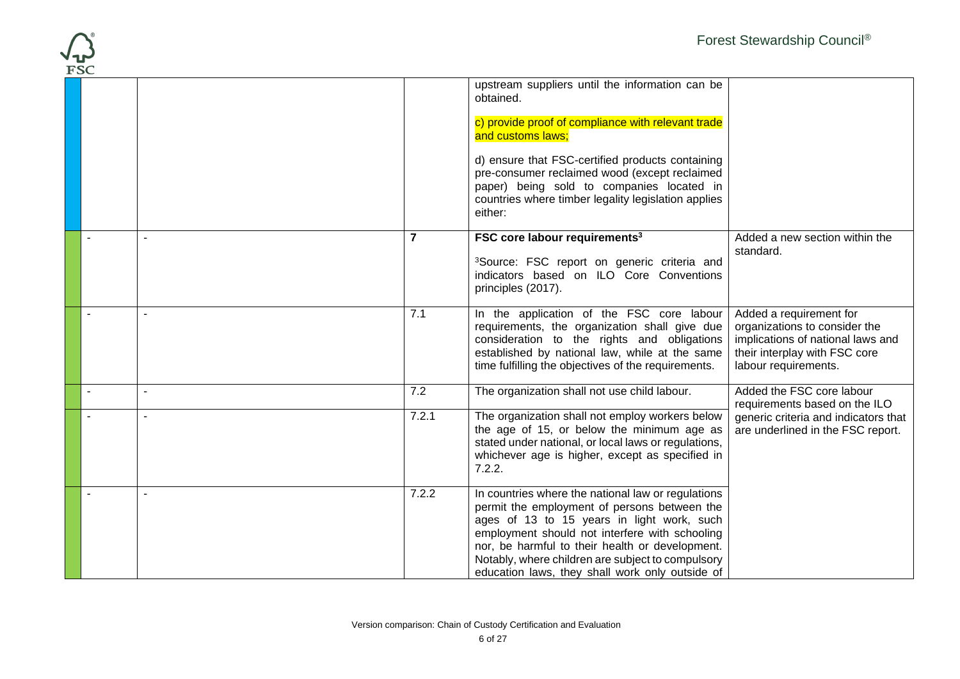

| -- |       | upstream suppliers until the information can be<br>obtained.<br>c) provide proof of compliance with relevant trade<br>and customs laws;<br>d) ensure that FSC-certified products containing<br>pre-consumer reclaimed wood (except reclaimed<br>paper) being sold to companies located in<br>countries where timber legality legislation applies<br>either:   |                                                                                                                                                        |
|----|-------|---------------------------------------------------------------------------------------------------------------------------------------------------------------------------------------------------------------------------------------------------------------------------------------------------------------------------------------------------------------|--------------------------------------------------------------------------------------------------------------------------------------------------------|
|    | 7     | FSC core labour requirements <sup>3</sup><br><sup>3</sup> Source: FSC report on generic criteria and<br>indicators based on ILO Core Conventions<br>principles (2017).                                                                                                                                                                                        | Added a new section within the<br>standard.                                                                                                            |
|    | 7.1   | In the application of the FSC core labour<br>requirements, the organization shall give due<br>consideration to the rights and obligations<br>established by national law, while at the same<br>time fulfilling the objectives of the requirements.                                                                                                            | Added a requirement for<br>organizations to consider the<br>implications of national laws and<br>their interplay with FSC core<br>labour requirements. |
|    | 7.2   | The organization shall not use child labour.                                                                                                                                                                                                                                                                                                                  | Added the FSC core labour<br>requirements based on the ILO                                                                                             |
|    | 7.2.1 | The organization shall not employ workers below<br>the age of 15, or below the minimum age as<br>stated under national, or local laws or regulations,<br>whichever age is higher, except as specified in<br>7.2.2.                                                                                                                                            | generic criteria and indicators that<br>are underlined in the FSC report.                                                                              |
|    | 7.2.2 | In countries where the national law or regulations<br>permit the employment of persons between the<br>ages of 13 to 15 years in light work, such<br>employment should not interfere with schooling<br>nor, be harmful to their health or development.<br>Notably, where children are subject to compulsory<br>education laws, they shall work only outside of |                                                                                                                                                        |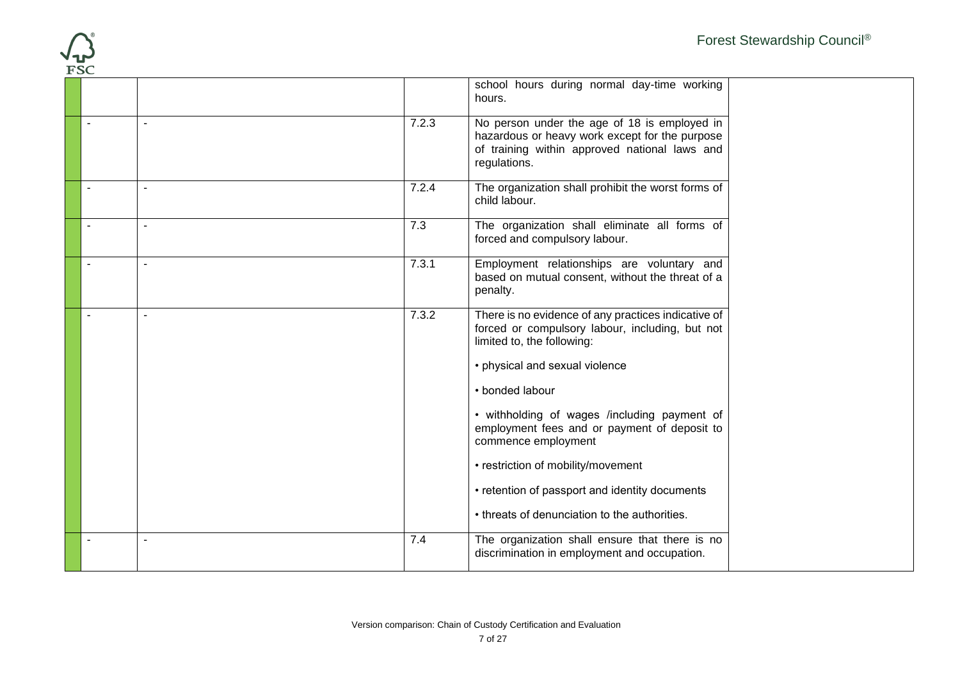

|                |                |       | school hours during normal day-time working                                                                                                                     |
|----------------|----------------|-------|-----------------------------------------------------------------------------------------------------------------------------------------------------------------|
|                |                |       | hours.                                                                                                                                                          |
| $\blacksquare$ |                | 7.2.3 | No person under the age of 18 is employed in<br>hazardous or heavy work except for the purpose<br>of training within approved national laws and<br>regulations. |
|                | $\blacksquare$ | 7.2.4 | The organization shall prohibit the worst forms of<br>child labour.                                                                                             |
|                | $\overline{a}$ | 7.3   | The organization shall eliminate all forms of<br>forced and compulsory labour.                                                                                  |
| $\sim$         | $\overline{a}$ | 7.3.1 | Employment relationships are voluntary and<br>based on mutual consent, without the threat of a<br>penalty.                                                      |
|                | $\blacksquare$ | 7.3.2 | There is no evidence of any practices indicative of<br>forced or compulsory labour, including, but not<br>limited to, the following:                            |
|                |                |       | • physical and sexual violence                                                                                                                                  |
|                |                |       | • bonded labour                                                                                                                                                 |
|                |                |       | • withholding of wages /including payment of<br>employment fees and or payment of deposit to<br>commence employment                                             |
|                |                |       | • restriction of mobility/movement                                                                                                                              |
|                |                |       | • retention of passport and identity documents                                                                                                                  |
|                |                |       | • threats of denunciation to the authorities.                                                                                                                   |
|                |                | 7.4   | The organization shall ensure that there is no<br>discrimination in employment and occupation.                                                                  |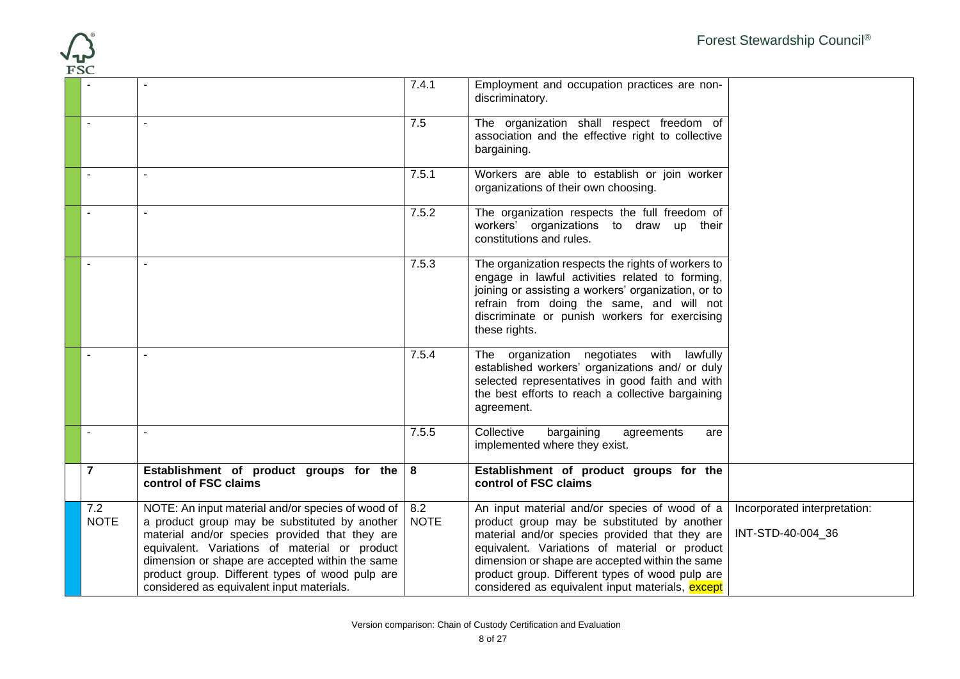| <b>FSC</b>         |                                                                                                                                                                                                                                                                                                                                                          |                    |                                                                                                                                                                                                                                                                                                                                                           | Forest Stewardship Council®                       |
|--------------------|----------------------------------------------------------------------------------------------------------------------------------------------------------------------------------------------------------------------------------------------------------------------------------------------------------------------------------------------------------|--------------------|-----------------------------------------------------------------------------------------------------------------------------------------------------------------------------------------------------------------------------------------------------------------------------------------------------------------------------------------------------------|---------------------------------------------------|
|                    |                                                                                                                                                                                                                                                                                                                                                          | 7.4.1              | Employment and occupation practices are non-<br>discriminatory.                                                                                                                                                                                                                                                                                           |                                                   |
|                    |                                                                                                                                                                                                                                                                                                                                                          | 7.5                | The organization shall respect freedom of<br>association and the effective right to collective<br>bargaining.                                                                                                                                                                                                                                             |                                                   |
| $\blacksquare$     |                                                                                                                                                                                                                                                                                                                                                          | 7.5.1              | Workers are able to establish or join worker<br>organizations of their own choosing.                                                                                                                                                                                                                                                                      |                                                   |
|                    |                                                                                                                                                                                                                                                                                                                                                          | 7.5.2              | The organization respects the full freedom of<br>workers' organizations to draw up their<br>constitutions and rules.                                                                                                                                                                                                                                      |                                                   |
|                    |                                                                                                                                                                                                                                                                                                                                                          | 7.5.3              | The organization respects the rights of workers to<br>engage in lawful activities related to forming,<br>joining or assisting a workers' organization, or to<br>refrain from doing the same, and will not<br>discriminate or punish workers for exercising<br>these rights.                                                                               |                                                   |
|                    |                                                                                                                                                                                                                                                                                                                                                          | 7.5.4              | The organization negotiates with lawfully<br>established workers' organizations and/ or duly<br>selected representatives in good faith and with<br>the best efforts to reach a collective bargaining<br>agreement.                                                                                                                                        |                                                   |
|                    |                                                                                                                                                                                                                                                                                                                                                          | 7.5.5              | Collective<br>bargaining<br>agreements<br>are<br>implemented where they exist.                                                                                                                                                                                                                                                                            |                                                   |
| $\overline{7}$     | Establishment of product groups for the<br>control of FSC claims                                                                                                                                                                                                                                                                                         | 8                  | Establishment of product groups for the<br>control of FSC claims                                                                                                                                                                                                                                                                                          |                                                   |
| 7.2<br><b>NOTE</b> | NOTE: An input material and/or species of wood of<br>a product group may be substituted by another<br>material and/or species provided that they are<br>equivalent. Variations of material or product<br>dimension or shape are accepted within the same<br>product group. Different types of wood pulp are<br>considered as equivalent input materials. | 8.2<br><b>NOTE</b> | An input material and/or species of wood of a<br>product group may be substituted by another<br>material and/or species provided that they are<br>equivalent. Variations of material or product<br>dimension or shape are accepted within the same<br>product group. Different types of wood pulp are<br>considered as equivalent input materials, except | Incorporated interpretation:<br>INT-STD-40-004_36 |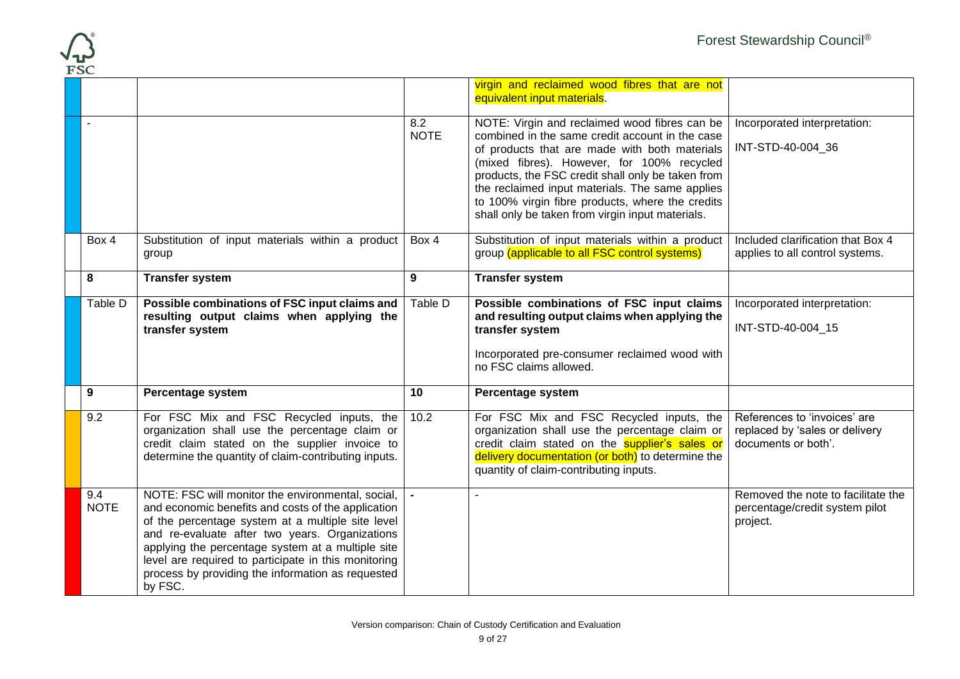

| T.OC               |                                                                                                                                                                                                                                                                                                                                                                                             |                    |                                                                                                                                                                                                                                                                                                                                                                                                                 |                                                                                       |
|--------------------|---------------------------------------------------------------------------------------------------------------------------------------------------------------------------------------------------------------------------------------------------------------------------------------------------------------------------------------------------------------------------------------------|--------------------|-----------------------------------------------------------------------------------------------------------------------------------------------------------------------------------------------------------------------------------------------------------------------------------------------------------------------------------------------------------------------------------------------------------------|---------------------------------------------------------------------------------------|
|                    |                                                                                                                                                                                                                                                                                                                                                                                             |                    | virgin and reclaimed wood fibres that are not<br>equivalent input materials.                                                                                                                                                                                                                                                                                                                                    |                                                                                       |
|                    |                                                                                                                                                                                                                                                                                                                                                                                             | 8.2<br><b>NOTE</b> | NOTE: Virgin and reclaimed wood fibres can be<br>combined in the same credit account in the case<br>of products that are made with both materials<br>(mixed fibres). However, for 100% recycled<br>products, the FSC credit shall only be taken from<br>the reclaimed input materials. The same applies<br>to 100% virgin fibre products, where the credits<br>shall only be taken from virgin input materials. | Incorporated interpretation:<br>INT-STD-40-004 36                                     |
| Box 4              | Substitution of input materials within a product<br>group                                                                                                                                                                                                                                                                                                                                   | Box 4              | Substitution of input materials within a product<br>group (applicable to all FSC control systems)                                                                                                                                                                                                                                                                                                               | Included clarification that Box 4<br>applies to all control systems.                  |
| 8                  | <b>Transfer system</b>                                                                                                                                                                                                                                                                                                                                                                      | 9                  | <b>Transfer system</b>                                                                                                                                                                                                                                                                                                                                                                                          |                                                                                       |
| Table D            | Possible combinations of FSC input claims and<br>resulting output claims when applying the<br>transfer system                                                                                                                                                                                                                                                                               | Table D            | Possible combinations of FSC input claims<br>and resulting output claims when applying the<br>transfer system<br>Incorporated pre-consumer reclaimed wood with<br>no FSC claims allowed.                                                                                                                                                                                                                        | Incorporated interpretation:<br>INT-STD-40-004_15                                     |
| 9                  | Percentage system                                                                                                                                                                                                                                                                                                                                                                           | 10                 | Percentage system                                                                                                                                                                                                                                                                                                                                                                                               |                                                                                       |
| 9.2                | For FSC Mix and FSC Recycled inputs, the<br>organization shall use the percentage claim or<br>credit claim stated on the supplier invoice to<br>determine the quantity of claim-contributing inputs.                                                                                                                                                                                        | 10.2               | For FSC Mix and FSC Recycled inputs, the<br>organization shall use the percentage claim or<br>credit claim stated on the supplier's sales or<br>delivery documentation (or both) to determine the<br>quantity of claim-contributing inputs.                                                                                                                                                                     | References to 'invoices' are<br>replaced by 'sales or delivery<br>documents or both'. |
| 9.4<br><b>NOTE</b> | NOTE: FSC will monitor the environmental, social,<br>and economic benefits and costs of the application<br>of the percentage system at a multiple site level<br>and re-evaluate after two years. Organizations<br>applying the percentage system at a multiple site<br>level are required to participate in this monitoring<br>process by providing the information as requested<br>by FSC. |                    | ÷,                                                                                                                                                                                                                                                                                                                                                                                                              | Removed the note to facilitate the<br>percentage/credit system pilot<br>project.      |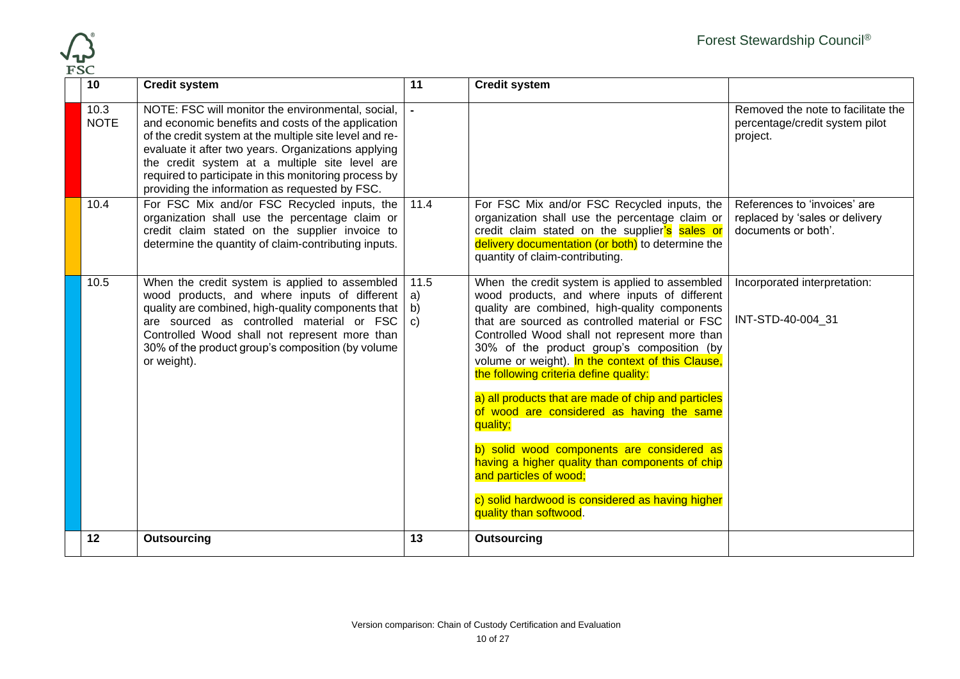

| r oc | 10                  | <b>Credit system</b>                                                                                                                                                                                                                                                                                                                                                                   | 11   | <b>Credit system</b>                                                                                                                                                                                                                                                                                                                                                                                                                                                                                            |                                                                                       |
|------|---------------------|----------------------------------------------------------------------------------------------------------------------------------------------------------------------------------------------------------------------------------------------------------------------------------------------------------------------------------------------------------------------------------------|------|-----------------------------------------------------------------------------------------------------------------------------------------------------------------------------------------------------------------------------------------------------------------------------------------------------------------------------------------------------------------------------------------------------------------------------------------------------------------------------------------------------------------|---------------------------------------------------------------------------------------|
|      | 10.3<br><b>NOTE</b> | NOTE: FSC will monitor the environmental, social,<br>and economic benefits and costs of the application<br>of the credit system at the multiple site level and re-<br>evaluate it after two years. Organizations applying<br>the credit system at a multiple site level are<br>required to participate in this monitoring process by<br>providing the information as requested by FSC. |      |                                                                                                                                                                                                                                                                                                                                                                                                                                                                                                                 | Removed the note to facilitate the<br>percentage/credit system pilot<br>project.      |
|      | 10.4                | For FSC Mix and/or FSC Recycled inputs, the<br>organization shall use the percentage claim or<br>credit claim stated on the supplier invoice to<br>determine the quantity of claim-contributing inputs.                                                                                                                                                                                | 11.4 | For FSC Mix and/or FSC Recycled inputs, the<br>organization shall use the percentage claim or<br>credit claim stated on the supplier's sales or<br>delivery documentation (or both) to determine the<br>quantity of claim-contributing.                                                                                                                                                                                                                                                                         | References to 'invoices' are<br>replaced by 'sales or delivery<br>documents or both'. |
|      | 10.5                | When the credit system is applied to assembled<br>wood products, and where inputs of different $ a\rangle$<br>quality are combined, high-quality components that $  b$ )<br>are sourced as controlled material or $FSC   c$ )<br>Controlled Wood shall not represent more than<br>30% of the product group's composition (by volume<br>or weight).                                     | 11.5 | When the credit system is applied to assembled<br>wood products, and where inputs of different<br>quality are combined, high-quality components<br>that are sourced as controlled material or FSC<br>Controlled Wood shall not represent more than<br>30% of the product group's composition (by<br>volume or weight). In the context of this Clause,<br>the following criteria define quality:<br>a) all products that are made of chip and particles<br>of wood are considered as having the same<br>quality; | Incorporated interpretation:<br>INT-STD-40-004 31                                     |
|      |                     |                                                                                                                                                                                                                                                                                                                                                                                        |      | b) solid wood components are considered as<br>having a higher quality than components of chip<br>and particles of wood;<br>c) solid hardwood is considered as having higher<br>quality than softwood.                                                                                                                                                                                                                                                                                                           |                                                                                       |
|      | 12                  | Outsourcing                                                                                                                                                                                                                                                                                                                                                                            | 13   | <b>Outsourcing</b>                                                                                                                                                                                                                                                                                                                                                                                                                                                                                              |                                                                                       |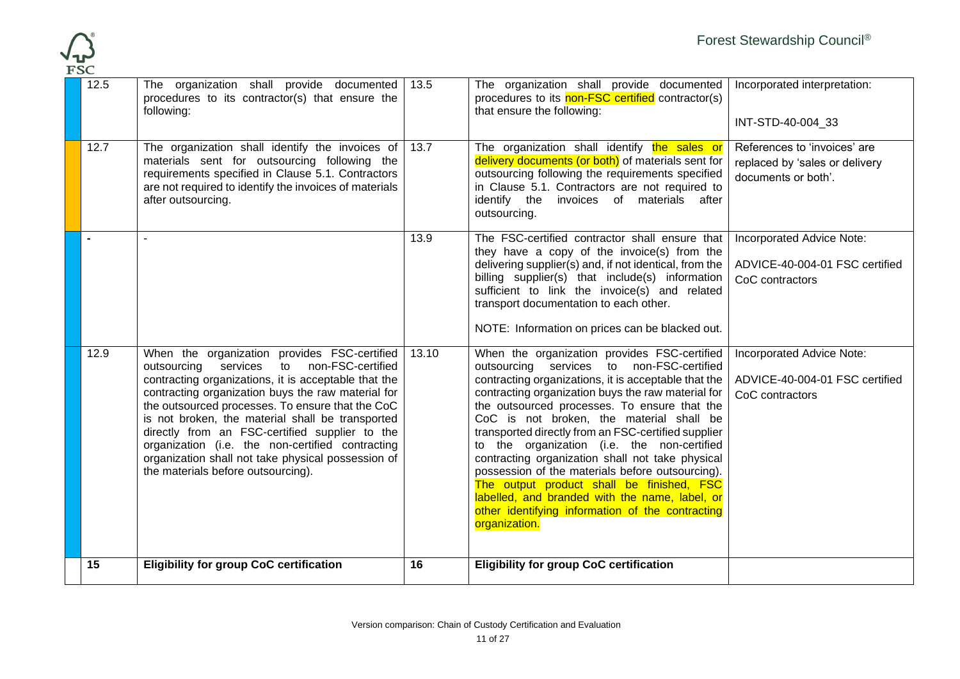

| 12.5 | The organization shall provide documented<br>procedures to its contractor(s) that ensure the<br>following:                                                                                                                                                                                                                                                                                                                                                                                                              | 13.5  | The organization shall provide documented<br>procedures to its non-FSC certified contractor(s)<br>that ensure the following:                                                                                                                                                                                                                                                                                                                                                                                                                                                                                                                                                          | Incorporated interpretation:<br>INT-STD-40-004_33                                     |
|------|-------------------------------------------------------------------------------------------------------------------------------------------------------------------------------------------------------------------------------------------------------------------------------------------------------------------------------------------------------------------------------------------------------------------------------------------------------------------------------------------------------------------------|-------|---------------------------------------------------------------------------------------------------------------------------------------------------------------------------------------------------------------------------------------------------------------------------------------------------------------------------------------------------------------------------------------------------------------------------------------------------------------------------------------------------------------------------------------------------------------------------------------------------------------------------------------------------------------------------------------|---------------------------------------------------------------------------------------|
| 12.7 | The organization shall identify the invoices of<br>materials sent for outsourcing following the<br>requirements specified in Clause 5.1. Contractors<br>are not required to identify the invoices of materials<br>after outsourcing.                                                                                                                                                                                                                                                                                    | 13.7  | The organization shall identify the sales or<br>delivery documents (or both) of materials sent for<br>outsourcing following the requirements specified<br>in Clause 5.1. Contractors are not required to<br>identify the invoices of materials after<br>outsourcing.                                                                                                                                                                                                                                                                                                                                                                                                                  | References to 'invoices' are<br>replaced by 'sales or delivery<br>documents or both'. |
|      |                                                                                                                                                                                                                                                                                                                                                                                                                                                                                                                         | 13.9  | The FSC-certified contractor shall ensure that<br>they have a copy of the invoice(s) from the<br>delivering supplier(s) and, if not identical, from the<br>billing supplier(s) that include(s) information<br>sufficient to link the invoice(s) and related<br>transport documentation to each other.<br>NOTE: Information on prices can be blacked out.                                                                                                                                                                                                                                                                                                                              | Incorporated Advice Note:<br>ADVICE-40-004-01 FSC certified<br>CoC contractors        |
| 12.9 | When the organization provides FSC-certified<br>non-FSC-certified<br>outsourcing<br>services to<br>contracting organizations, it is acceptable that the<br>contracting organization buys the raw material for<br>the outsourced processes. To ensure that the CoC<br>is not broken, the material shall be transported<br>directly from an FSC-certified supplier to the<br>organization (i.e. the non-certified contracting<br>organization shall not take physical possession of<br>the materials before outsourcing). | 13.10 | When the organization provides FSC-certified<br>outsourcing services to non-FSC-certified<br>contracting organizations, it is acceptable that the<br>contracting organization buys the raw material for<br>the outsourced processes. To ensure that the<br>CoC is not broken, the material shall be<br>transported directly from an FSC-certified supplier<br>to the organization (i.e. the non-certified<br>contracting organization shall not take physical<br>possession of the materials before outsourcing).<br>The output product shall be finished, FSC<br>labelled, and branded with the name, label, or<br>other identifying information of the contracting<br>organization. | Incorporated Advice Note:<br>ADVICE-40-004-01 FSC certified<br>CoC contractors        |
| 15   | <b>Eligibility for group CoC certification</b>                                                                                                                                                                                                                                                                                                                                                                                                                                                                          | 16    | <b>Eligibility for group CoC certification</b>                                                                                                                                                                                                                                                                                                                                                                                                                                                                                                                                                                                                                                        |                                                                                       |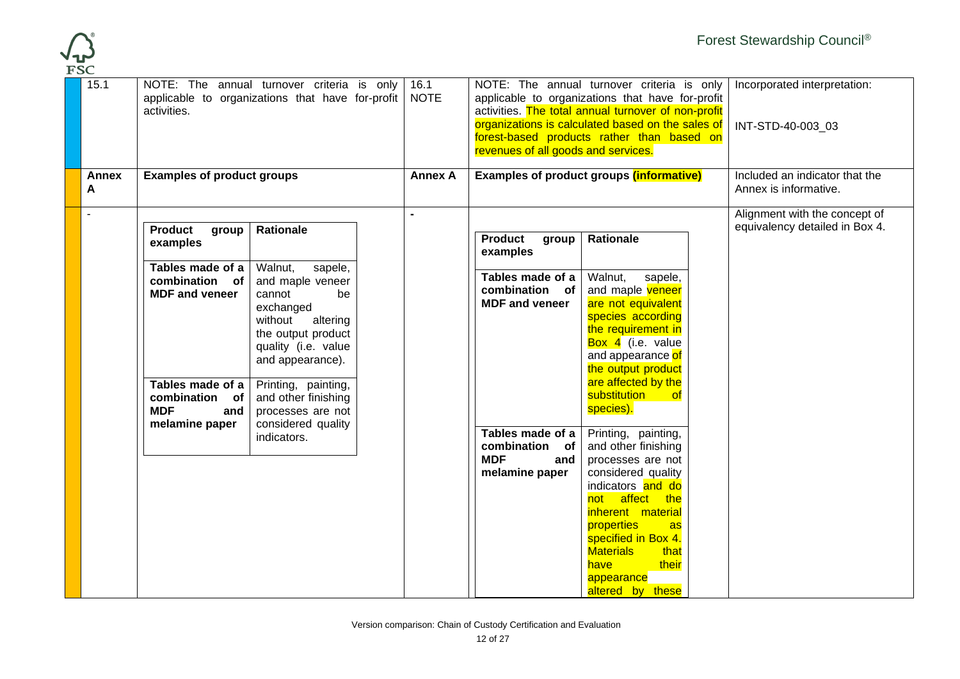

| organizations is calculated based on the sales of<br>INT-STD-40-003 03<br>forest-based products rather than based on<br>revenues of all goods and services.                                                                                                                                                                                                                                                                                                                                                                                                                                                                                                                                                                                                                                                                                                                                                                                                                                                                                                                                                                                                                                        |                                                                 |
|----------------------------------------------------------------------------------------------------------------------------------------------------------------------------------------------------------------------------------------------------------------------------------------------------------------------------------------------------------------------------------------------------------------------------------------------------------------------------------------------------------------------------------------------------------------------------------------------------------------------------------------------------------------------------------------------------------------------------------------------------------------------------------------------------------------------------------------------------------------------------------------------------------------------------------------------------------------------------------------------------------------------------------------------------------------------------------------------------------------------------------------------------------------------------------------------------|-----------------------------------------------------------------|
| <b>Examples of product groups (informative)</b><br><b>Examples of product groups</b><br><b>Annex A</b><br><b>Annex</b><br>A<br>Annex is informative.                                                                                                                                                                                                                                                                                                                                                                                                                                                                                                                                                                                                                                                                                                                                                                                                                                                                                                                                                                                                                                               | Included an indicator that the                                  |
| <b>Product</b><br><b>Rationale</b><br>group<br>Rationale<br><b>Product</b><br>group<br>examples<br>examples<br>Tables made of a<br>Walnut,<br>sapele,<br>Tables made of a<br>Walnut,<br>sapele,<br>and maple veneer<br>combination of<br>and maple veneer<br>combination of<br><b>MDF</b> and veneer<br>cannot<br>be<br><b>MDF</b> and veneer<br>are not equivalent<br>exchanged<br>species according<br>without<br>altering<br>the requirement in<br>the output product<br>Box 4 (i.e. value<br>quality (i.e. value<br>and appearance of<br>and appearance).<br>the output product<br>are affected by the<br>Tables made of a<br>Printing, painting,<br>substitution of<br>combination of<br>and other finishing<br>species).<br><b>MDF</b><br>processes are not<br>and<br>considered quality<br>melamine paper<br>Tables made of a<br>Printing, painting,<br>indicators.<br>combination of<br>and other finishing<br><b>MDF</b><br>processes are not<br>and<br>considered quality<br>melamine paper<br>indicators and do<br>not affect the<br>inherent material<br>properties<br><b>as</b><br>specified in Box 4.<br><b>Materials</b><br>that<br>have<br>their<br>appearance<br>altered by these | Alignment with the concept of<br>equivalency detailed in Box 4. |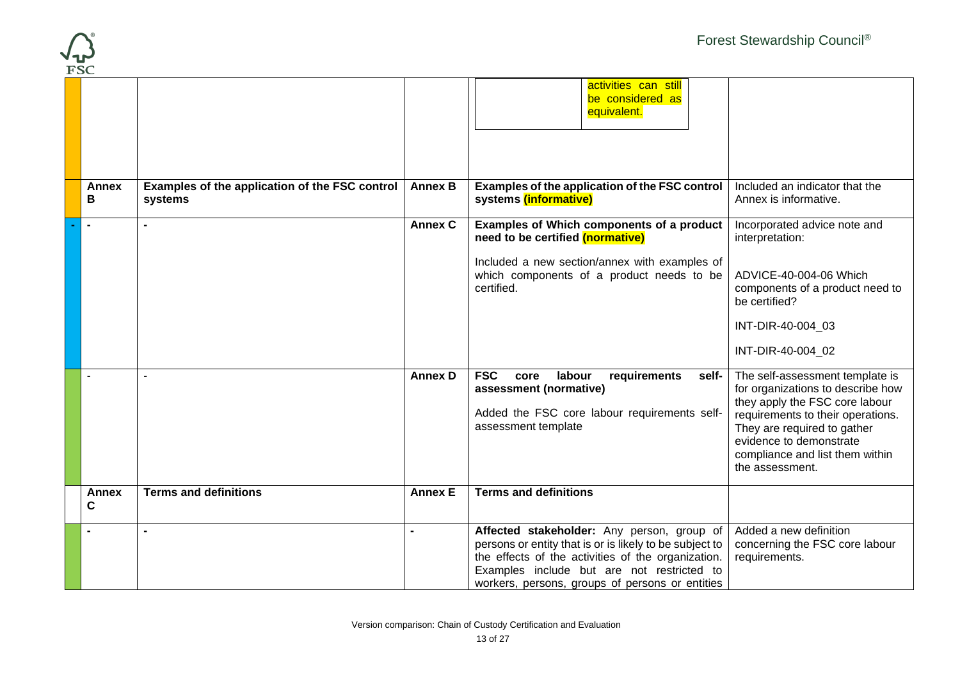

| t oc              |                                                           |                |                                                                                                                                                                                                                                                              |                                                                                                                                                                                                                                                             |
|-------------------|-----------------------------------------------------------|----------------|--------------------------------------------------------------------------------------------------------------------------------------------------------------------------------------------------------------------------------------------------------------|-------------------------------------------------------------------------------------------------------------------------------------------------------------------------------------------------------------------------------------------------------------|
|                   |                                                           |                | activities can still<br>be considered as<br>equivalent.                                                                                                                                                                                                      |                                                                                                                                                                                                                                                             |
| <b>Annex</b><br>В | Examples of the application of the FSC control<br>systems | <b>Annex B</b> | Examples of the application of the FSC control<br>systems (informative)                                                                                                                                                                                      | Included an indicator that the<br>Annex is informative.                                                                                                                                                                                                     |
|                   |                                                           | <b>Annex C</b> | <b>Examples of Which components of a product</b><br>need to be certified (normative)                                                                                                                                                                         | Incorporated advice note and<br>interpretation:                                                                                                                                                                                                             |
|                   |                                                           |                | Included a new section/annex with examples of<br>which components of a product needs to be<br>certified.                                                                                                                                                     | ADVICE-40-004-06 Which<br>components of a product need to<br>be certified?                                                                                                                                                                                  |
|                   |                                                           |                |                                                                                                                                                                                                                                                              | INT-DIR-40-004 03                                                                                                                                                                                                                                           |
|                   |                                                           |                |                                                                                                                                                                                                                                                              | INT-DIR-40-004_02                                                                                                                                                                                                                                           |
|                   |                                                           | <b>Annex D</b> | <b>FSC</b><br>labour<br>core<br>requirements<br>self-<br>assessment (normative)<br>Added the FSC core labour requirements self-<br>assessment template                                                                                                       | The self-assessment template is<br>for organizations to describe how<br>they apply the FSC core labour<br>requirements to their operations.<br>They are required to gather<br>evidence to demonstrate<br>compliance and list them within<br>the assessment. |
| <b>Annex</b><br>C | <b>Terms and definitions</b>                              | <b>Annex E</b> | <b>Terms and definitions</b>                                                                                                                                                                                                                                 |                                                                                                                                                                                                                                                             |
|                   | $\blacksquare$                                            |                | Affected stakeholder: Any person, group of<br>persons or entity that is or is likely to be subject to<br>the effects of the activities of the organization.<br>Examples include but are not restricted to<br>workers, persons, groups of persons or entities | Added a new definition<br>concerning the FSC core labour<br>requirements.                                                                                                                                                                                   |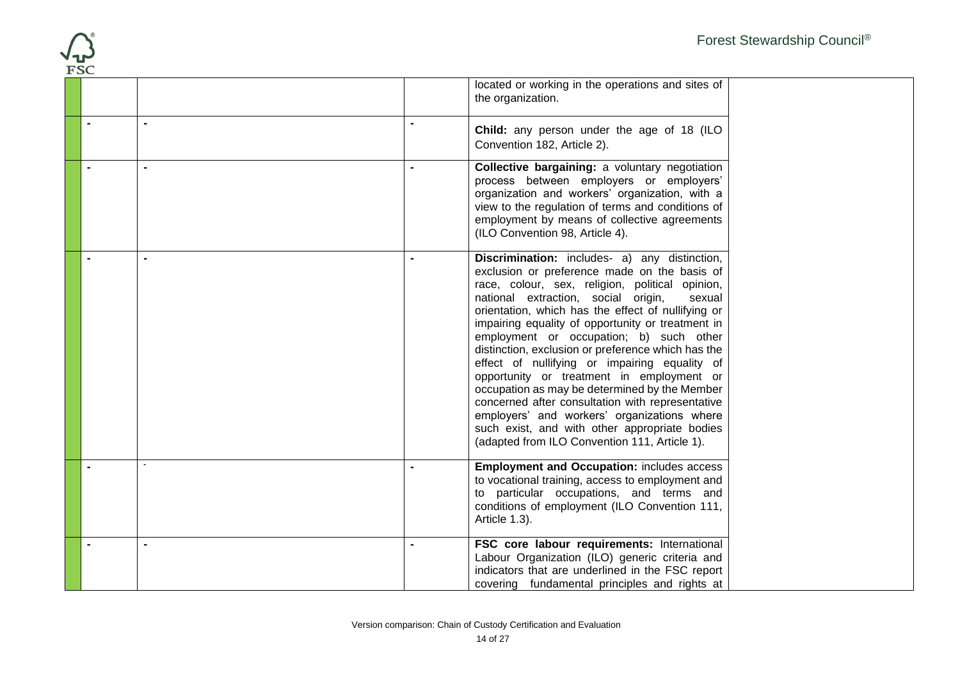| <b>FSC</b>     |                |                                                                                                                                                                                                                                                                                                                                                                                                                                                                                                                                                                                                                                                                                                                                                                                     | Forest Stewardship Council® |
|----------------|----------------|-------------------------------------------------------------------------------------------------------------------------------------------------------------------------------------------------------------------------------------------------------------------------------------------------------------------------------------------------------------------------------------------------------------------------------------------------------------------------------------------------------------------------------------------------------------------------------------------------------------------------------------------------------------------------------------------------------------------------------------------------------------------------------------|-----------------------------|
|                |                | located or working in the operations and sites of<br>the organization.                                                                                                                                                                                                                                                                                                                                                                                                                                                                                                                                                                                                                                                                                                              |                             |
| $\blacksquare$ |                | $\blacksquare$<br>Child: any person under the age of 18 (ILO<br>Convention 182, Article 2).                                                                                                                                                                                                                                                                                                                                                                                                                                                                                                                                                                                                                                                                                         |                             |
| $\blacksquare$ | $\blacksquare$ | Collective bargaining: a voluntary negotiation<br>$\blacksquare$<br>process between employers or employers'<br>organization and workers' organization, with a<br>view to the regulation of terms and conditions of<br>employment by means of collective agreements<br>(ILO Convention 98, Article 4).                                                                                                                                                                                                                                                                                                                                                                                                                                                                               |                             |
| $\overline{a}$ | $\overline{a}$ | Discrimination: includes- a) any distinction,<br>$\overline{a}$<br>exclusion or preference made on the basis of<br>race, colour, sex, religion, political opinion,<br>national extraction, social origin,<br>sexual<br>orientation, which has the effect of nullifying or<br>impairing equality of opportunity or treatment in<br>employment or occupation; b) such other<br>distinction, exclusion or preference which has the<br>effect of nullifying or impairing equality of<br>opportunity or treatment in employment or<br>occupation as may be determined by the Member<br>concerned after consultation with representative<br>employers' and workers' organizations where<br>such exist, and with other appropriate bodies<br>(adapted from ILO Convention 111, Article 1). |                             |
|                |                | <b>Employment and Occupation: includes access</b><br>to vocational training, access to employment and<br>to particular occupations, and terms and<br>conditions of employment (ILO Convention 111,<br>Article 1.3).                                                                                                                                                                                                                                                                                                                                                                                                                                                                                                                                                                 |                             |
|                |                | FSC core labour requirements: International<br>Labour Organization (ILO) generic criteria and<br>indicators that are underlined in the FSC report<br>covering fundamental principles and rights at                                                                                                                                                                                                                                                                                                                                                                                                                                                                                                                                                                                  |                             |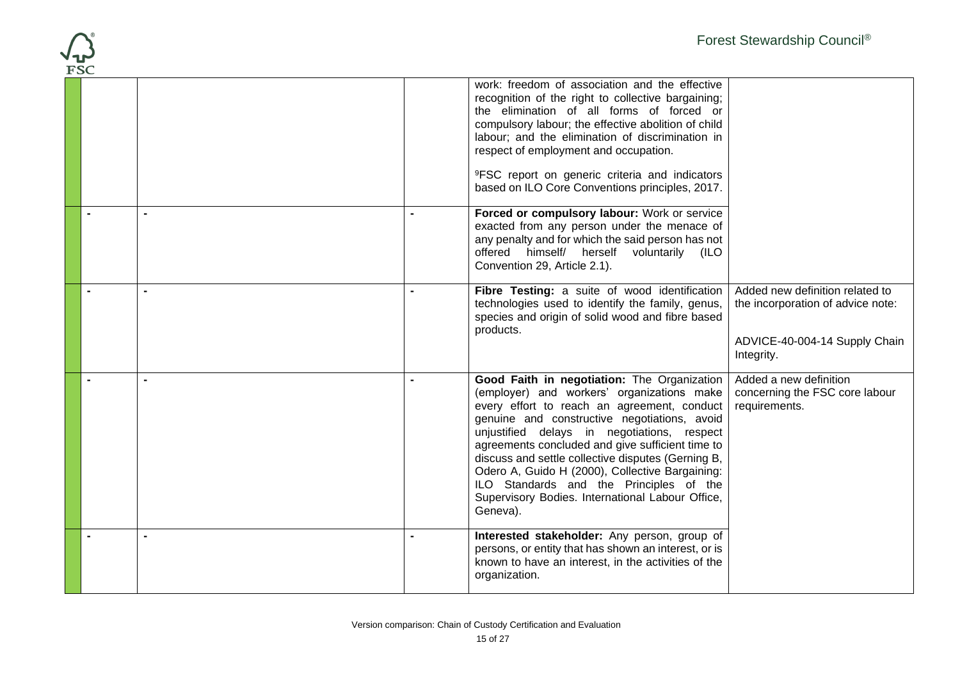| R) |  |
|----|--|
|    |  |

|  | work: freedom of association and the effective<br>recognition of the right to collective bargaining;<br>the elimination of all forms of forced or<br>compulsory labour; the effective abolition of child<br>labour; and the elimination of discrimination in<br>respect of employment and occupation.<br><sup>9</sup> FSC report on generic criteria and indicators<br>based on ILO Core Conventions principles, 2017.                                                                                          |                                                                                                                     |
|--|-----------------------------------------------------------------------------------------------------------------------------------------------------------------------------------------------------------------------------------------------------------------------------------------------------------------------------------------------------------------------------------------------------------------------------------------------------------------------------------------------------------------|---------------------------------------------------------------------------------------------------------------------|
|  | Forced or compulsory labour: Work or service<br>exacted from any person under the menace of<br>any penalty and for which the said person has not<br>offered himself/ herself voluntarily (ILO<br>Convention 29, Article 2.1).                                                                                                                                                                                                                                                                                   |                                                                                                                     |
|  | Fibre Testing: a suite of wood identification<br>technologies used to identify the family, genus,<br>species and origin of solid wood and fibre based<br>products.                                                                                                                                                                                                                                                                                                                                              | Added new definition related to<br>the incorporation of advice note:<br>ADVICE-40-004-14 Supply Chain<br>Integrity. |
|  | Good Faith in negotiation: The Organization<br>(employer) and workers' organizations make<br>every effort to reach an agreement, conduct<br>genuine and constructive negotiations, avoid<br>unjustified delays in negotiations, respect<br>agreements concluded and give sufficient time to<br>discuss and settle collective disputes (Gerning B,<br>Odero A, Guido H (2000), Collective Bargaining:<br>ILO Standards and the Principles of the<br>Supervisory Bodies. International Labour Office,<br>Geneva). | Added a new definition<br>concerning the FSC core labour<br>requirements.                                           |
|  | Interested stakeholder: Any person, group of<br>persons, or entity that has shown an interest, or is<br>known to have an interest, in the activities of the<br>organization.                                                                                                                                                                                                                                                                                                                                    |                                                                                                                     |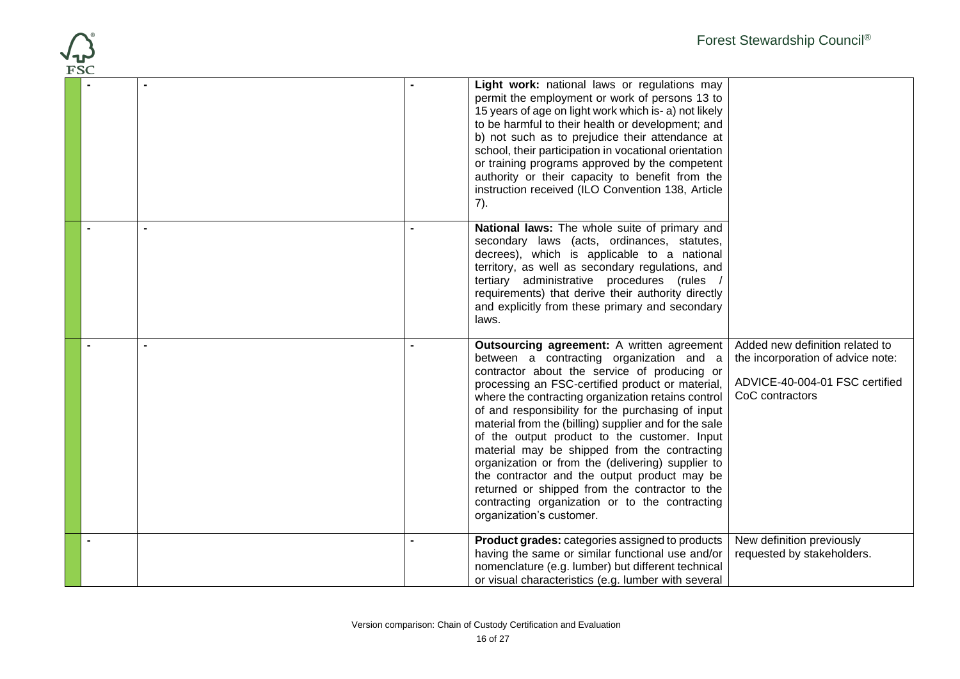| <b>FSC</b>     |     |                                                                                                                                                                                                                                                                                                                                                                                                                                                                                                                                                                                                                                                                                                     | Forest Stewardship Council®                                                                                               |
|----------------|-----|-----------------------------------------------------------------------------------------------------------------------------------------------------------------------------------------------------------------------------------------------------------------------------------------------------------------------------------------------------------------------------------------------------------------------------------------------------------------------------------------------------------------------------------------------------------------------------------------------------------------------------------------------------------------------------------------------------|---------------------------------------------------------------------------------------------------------------------------|
|                | 7). | Light work: national laws or regulations may<br>permit the employment or work of persons 13 to<br>15 years of age on light work which is- a) not likely<br>to be harmful to their health or development; and<br>b) not such as to prejudice their attendance at<br>school, their participation in vocational orientation<br>or training programs approved by the competent<br>authority or their capacity to benefit from the<br>instruction received (ILO Convention 138, Article                                                                                                                                                                                                                  |                                                                                                                           |
|                |     | National laws: The whole suite of primary and<br>secondary laws (acts, ordinances, statutes,<br>decrees), which is applicable to a national<br>territory, as well as secondary regulations, and<br>tertiary administrative procedures (rules<br>requirements) that derive their authority directly<br>and explicitly from these primary and secondary<br>laws.                                                                                                                                                                                                                                                                                                                                      |                                                                                                                           |
| $\blacksquare$ |     | Outsourcing agreement: A written agreement<br>between a contracting organization and a<br>contractor about the service of producing or<br>processing an FSC-certified product or material,<br>where the contracting organization retains control<br>of and responsibility for the purchasing of input<br>material from the (billing) supplier and for the sale<br>of the output product to the customer. Input<br>material may be shipped from the contracting<br>organization or from the (delivering) supplier to<br>the contractor and the output product may be<br>returned or shipped from the contractor to the<br>contracting organization or to the contracting<br>organization's customer. | Added new definition related to<br>the incorporation of advice note:<br>ADVICE-40-004-01 FSC certified<br>CoC contractors |
|                |     | <b>Product grades:</b> categories assigned to products<br>having the same or similar functional use and/or<br>nomenclature (e.g. lumber) but different technical<br>or visual characteristics (e.g. lumber with several                                                                                                                                                                                                                                                                                                                                                                                                                                                                             | New definition previously<br>requested by stakeholders.                                                                   |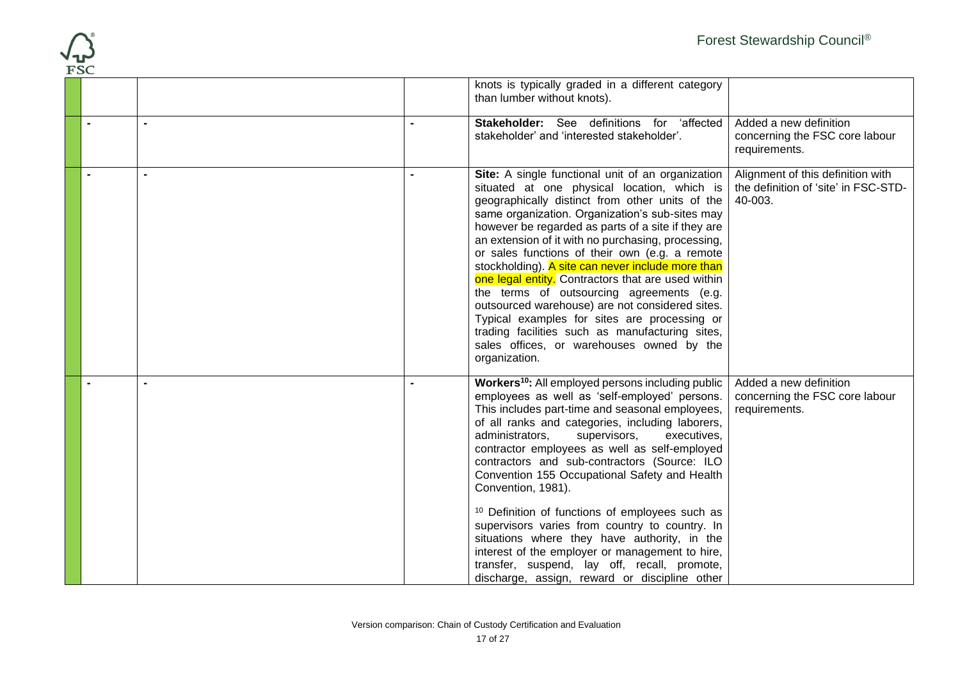|            | Forest Stewardship Council®                                                                                                                                                                                                                                                                                                                                                                                                                                                                                                                                                                                                                                                                                                                                                                                                              |
|------------|------------------------------------------------------------------------------------------------------------------------------------------------------------------------------------------------------------------------------------------------------------------------------------------------------------------------------------------------------------------------------------------------------------------------------------------------------------------------------------------------------------------------------------------------------------------------------------------------------------------------------------------------------------------------------------------------------------------------------------------------------------------------------------------------------------------------------------------|
| <b>FSC</b> | knots is typically graded in a different category<br>than lumber without knots).                                                                                                                                                                                                                                                                                                                                                                                                                                                                                                                                                                                                                                                                                                                                                         |
|            | Stakeholder: See definitions for 'affected<br>Added a new definition<br>stakeholder' and 'interested stakeholder'.<br>concerning the FSC core labour<br>requirements.                                                                                                                                                                                                                                                                                                                                                                                                                                                                                                                                                                                                                                                                    |
|            | Alignment of this definition with<br>Site: A single functional unit of an organization<br>situated at one physical location, which is<br>the definition of 'site' in FSC-STD-<br>40-003.<br>geographically distinct from other units of the<br>same organization. Organization's sub-sites may<br>however be regarded as parts of a site if they are<br>an extension of it with no purchasing, processing,<br>or sales functions of their own (e.g. a remote<br>stockholding). A site can never include more than<br>one legal entity. Contractors that are used within<br>the terms of outsourcing agreements (e.g.<br>outsourced warehouse) are not considered sites.<br>Typical examples for sites are processing or<br>trading facilities such as manufacturing sites,<br>sales offices, or warehouses owned by the<br>organization. |
|            | Workers <sup>10</sup> : All employed persons including public<br>Added a new definition<br>employees as well as 'self-employed' persons.<br>concerning the FSC core labour<br>This includes part-time and seasonal employees,<br>requirements.<br>of all ranks and categories, including laborers,<br>administrators,<br>supervisors,<br>executives,<br>contractor employees as well as self-employed<br>contractors and sub-contractors (Source: ILO<br>Convention 155 Occupational Safety and Health<br>Convention, 1981).<br><sup>10</sup> Definition of functions of employees such as                                                                                                                                                                                                                                               |
|            | supervisors varies from country to country. In<br>situations where they have authority, in the<br>interest of the employer or management to hire,<br>transfer, suspend, lay off, recall, promote,<br>discharge, assign, reward or discipline other                                                                                                                                                                                                                                                                                                                                                                                                                                                                                                                                                                                       |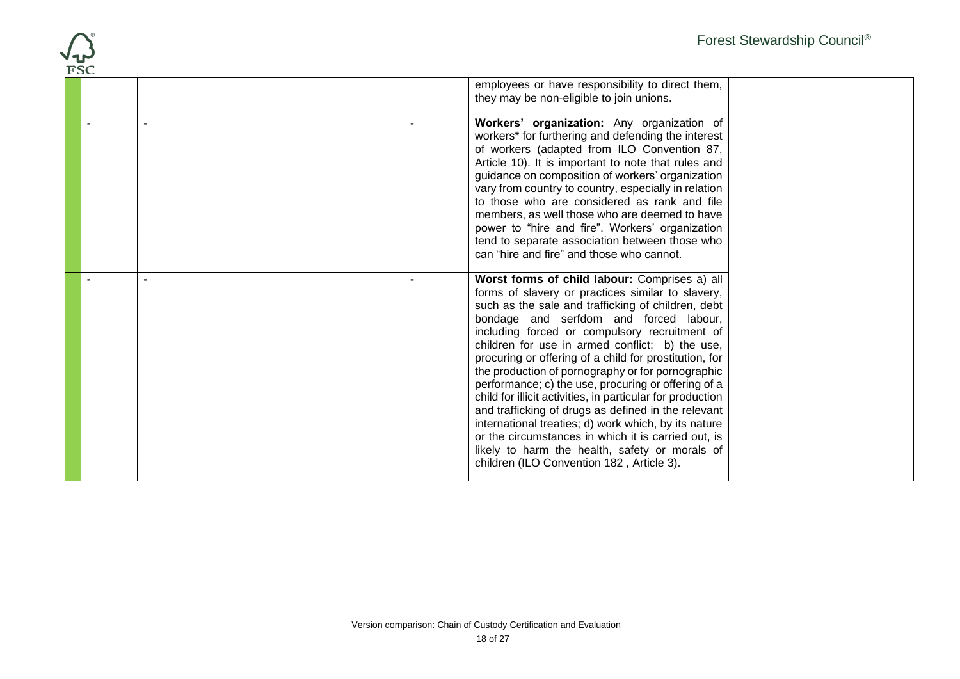| <b>FSC</b> | Forest Stewardship Council <sup>®</sup>                                                                                                                                                                                                                                                                                                                                                                                                                                                                                                                                                                                                                                                                                                                                                                         |
|------------|-----------------------------------------------------------------------------------------------------------------------------------------------------------------------------------------------------------------------------------------------------------------------------------------------------------------------------------------------------------------------------------------------------------------------------------------------------------------------------------------------------------------------------------------------------------------------------------------------------------------------------------------------------------------------------------------------------------------------------------------------------------------------------------------------------------------|
|            | employees or have responsibility to direct them,<br>they may be non-eligible to join unions.                                                                                                                                                                                                                                                                                                                                                                                                                                                                                                                                                                                                                                                                                                                    |
|            | Workers' organization: Any organization of<br>workers* for furthering and defending the interest<br>of workers (adapted from ILO Convention 87,<br>Article 10). It is important to note that rules and<br>guidance on composition of workers' organization<br>vary from country to country, especially in relation<br>to those who are considered as rank and file<br>members, as well those who are deemed to have<br>power to "hire and fire". Workers' organization<br>tend to separate association between those who<br>can "hire and fire" and those who cannot.                                                                                                                                                                                                                                           |
|            | Worst forms of child labour: Comprises a) all<br>forms of slavery or practices similar to slavery,<br>such as the sale and trafficking of children, debt<br>bondage and serfdom and forced labour,<br>including forced or compulsory recruitment of<br>children for use in armed conflict; b) the use,<br>procuring or offering of a child for prostitution, for<br>the production of pornography or for pornographic<br>performance; c) the use, procuring or offering of a<br>child for illicit activities, in particular for production<br>and trafficking of drugs as defined in the relevant<br>international treaties; d) work which, by its nature<br>or the circumstances in which it is carried out, is<br>likely to harm the health, safety or morals of<br>children (ILO Convention 182, Article 3). |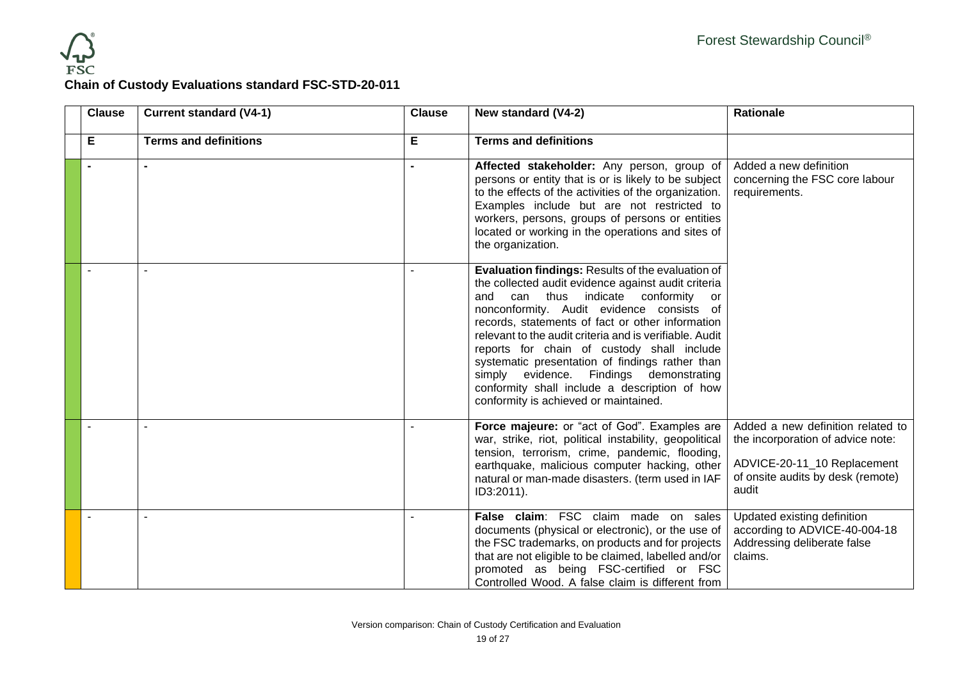

## **Chain of Custody Evaluations standard FSC-STD-20-011**

| <b>Clause</b> | <b>Current standard (V4-1)</b> | <b>Clause</b> | New standard (V4-2)                                                                                                                                                                                                                                                                                                                                                                                                                                                                                                                                         | Rationale                                                                                                                                           |
|---------------|--------------------------------|---------------|-------------------------------------------------------------------------------------------------------------------------------------------------------------------------------------------------------------------------------------------------------------------------------------------------------------------------------------------------------------------------------------------------------------------------------------------------------------------------------------------------------------------------------------------------------------|-----------------------------------------------------------------------------------------------------------------------------------------------------|
| Е             | <b>Terms and definitions</b>   | Е             | <b>Terms and definitions</b>                                                                                                                                                                                                                                                                                                                                                                                                                                                                                                                                |                                                                                                                                                     |
|               |                                |               | Affected stakeholder: Any person, group of<br>persons or entity that is or is likely to be subject<br>to the effects of the activities of the organization.<br>Examples include but are not restricted to<br>workers, persons, groups of persons or entities<br>located or working in the operations and sites of<br>the organization.                                                                                                                                                                                                                      | Added a new definition<br>concerning the FSC core labour<br>requirements.                                                                           |
|               |                                |               | <b>Evaluation findings: Results of the evaluation of</b><br>the collected audit evidence against audit criteria<br>and can thus indicate conformity<br>or<br>nonconformity. Audit evidence consists of<br>records, statements of fact or other information<br>relevant to the audit criteria and is verifiable. Audit<br>reports for chain of custody shall include<br>systematic presentation of findings rather than<br>simply evidence. Findings demonstrating<br>conformity shall include a description of how<br>conformity is achieved or maintained. |                                                                                                                                                     |
|               |                                |               | Force majeure: or "act of God". Examples are<br>war, strike, riot, political instability, geopolitical<br>tension, terrorism, crime, pandemic, flooding,<br>earthquake, malicious computer hacking, other<br>natural or man-made disasters. (term used in IAF<br>ID3:2011).                                                                                                                                                                                                                                                                                 | Added a new definition related to<br>the incorporation of advice note:<br>ADVICE-20-11_10 Replacement<br>of onsite audits by desk (remote)<br>audit |
|               |                                |               | False claim: FSC claim made on sales<br>documents (physical or electronic), or the use of<br>the FSC trademarks, on products and for projects<br>that are not eligible to be claimed, labelled and/or<br>promoted as being FSC-certified or FSC<br>Controlled Wood. A false claim is different from                                                                                                                                                                                                                                                         | Updated existing definition<br>according to ADVICE-40-004-18<br>Addressing deliberate false<br>claims.                                              |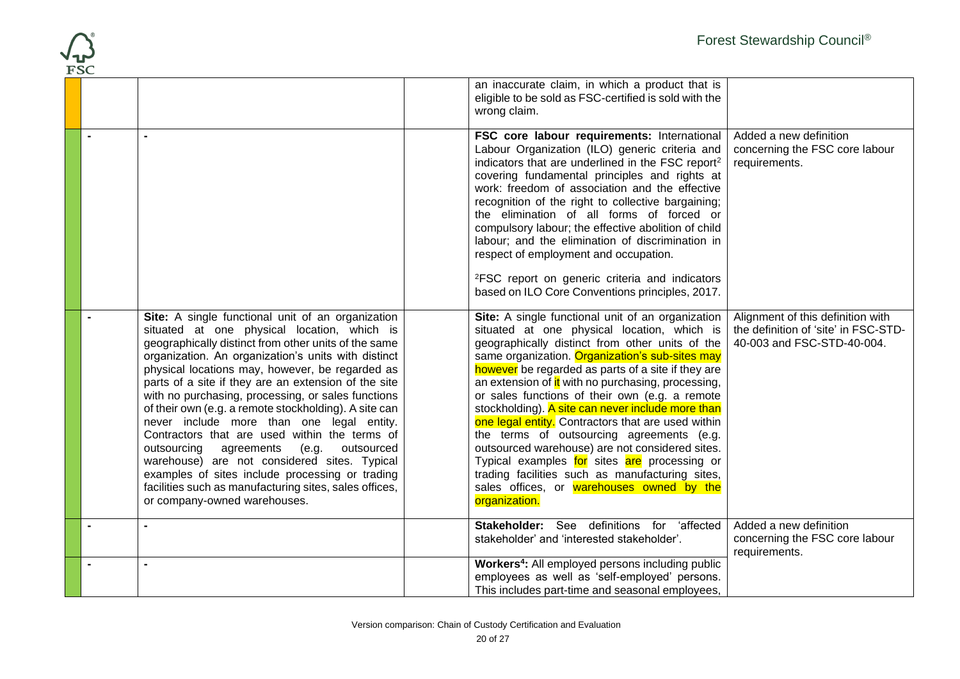|  |                                                                                                                                                                                                                                                                                                                                                                                                                                                                                                                                                                                                                                                                                                                                                                                          | an inaccurate claim, in which a product that is<br>eligible to be sold as FSC-certified is sold with the<br>wrong claim.                                                                                                                                                                                                                                                                                                                                                                                                                                                                                                                                                                                                                         |                                                                                                         |
|--|------------------------------------------------------------------------------------------------------------------------------------------------------------------------------------------------------------------------------------------------------------------------------------------------------------------------------------------------------------------------------------------------------------------------------------------------------------------------------------------------------------------------------------------------------------------------------------------------------------------------------------------------------------------------------------------------------------------------------------------------------------------------------------------|--------------------------------------------------------------------------------------------------------------------------------------------------------------------------------------------------------------------------------------------------------------------------------------------------------------------------------------------------------------------------------------------------------------------------------------------------------------------------------------------------------------------------------------------------------------------------------------------------------------------------------------------------------------------------------------------------------------------------------------------------|---------------------------------------------------------------------------------------------------------|
|  |                                                                                                                                                                                                                                                                                                                                                                                                                                                                                                                                                                                                                                                                                                                                                                                          | FSC core labour requirements: International<br>Labour Organization (ILO) generic criteria and<br>indicators that are underlined in the FSC report <sup>2</sup><br>covering fundamental principles and rights at<br>work: freedom of association and the effective<br>recognition of the right to collective bargaining;<br>the elimination of all forms of forced or<br>compulsory labour; the effective abolition of child<br>labour; and the elimination of discrimination in<br>respect of employment and occupation.<br><sup>2</sup> FSC report on generic criteria and indicators<br>based on ILO Core Conventions principles, 2017.                                                                                                        | Added a new definition<br>concerning the FSC core labour<br>requirements.                               |
|  | Site: A single functional unit of an organization<br>situated at one physical location, which is<br>geographically distinct from other units of the same<br>organization. An organization's units with distinct<br>physical locations may, however, be regarded as<br>parts of a site if they are an extension of the site<br>with no purchasing, processing, or sales functions<br>of their own (e.g. a remote stockholding). A site can<br>never include more than one legal entity.<br>Contractors that are used within the terms of<br>(e.g.<br>outsourced<br>outsourcing<br>agreements<br>warehouse) are not considered sites. Typical<br>examples of sites include processing or trading<br>facilities such as manufacturing sites, sales offices,<br>or company-owned warehouses. | Site: A single functional unit of an organization<br>situated at one physical location, which is<br>geographically distinct from other units of the<br>same organization. Organization's sub-sites may<br>however be regarded as parts of a site if they are<br>an extension of it with no purchasing, processing,<br>or sales functions of their own (e.g. a remote<br>stockholding). A site can never include more than<br>one legal entity. Contractors that are used within<br>the terms of outsourcing agreements (e.g.<br>outsourced warehouse) are not considered sites.<br>Typical examples for sites are processing or<br>trading facilities such as manufacturing sites,<br>sales offices, or warehouses owned by the<br>organization. | Alignment of this definition with<br>the definition of 'site' in FSC-STD-<br>40-003 and FSC-STD-40-004. |
|  |                                                                                                                                                                                                                                                                                                                                                                                                                                                                                                                                                                                                                                                                                                                                                                                          | Stakeholder: See definitions for 'affected<br>stakeholder' and 'interested stakeholder'.                                                                                                                                                                                                                                                                                                                                                                                                                                                                                                                                                                                                                                                         | Added a new definition<br>concerning the FSC core labour<br>requirements.                               |
|  |                                                                                                                                                                                                                                                                                                                                                                                                                                                                                                                                                                                                                                                                                                                                                                                          | Workers <sup>4</sup> : All employed persons including public<br>employees as well as 'self-employed' persons.<br>This includes part-time and seasonal employees,                                                                                                                                                                                                                                                                                                                                                                                                                                                                                                                                                                                 |                                                                                                         |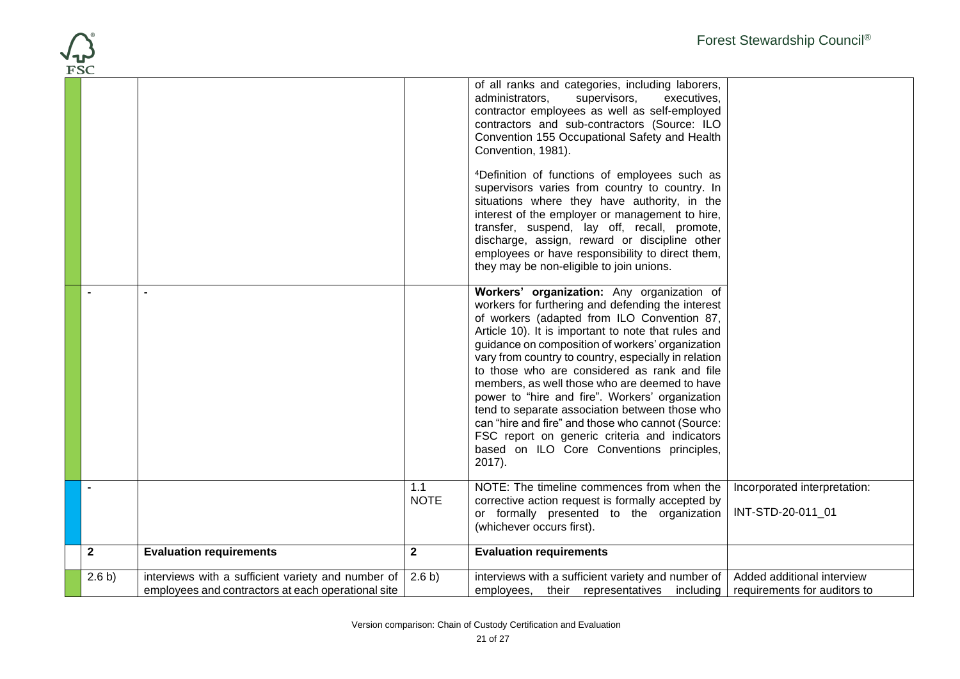| <b>FSC</b>   |        |                                                                                                          |                    |                                                                                                                                                                                                                                                                                                                                                                                                                                                                                                                                                                                                                                                                                      | Forest Stewardship Council®                                |
|--------------|--------|----------------------------------------------------------------------------------------------------------|--------------------|--------------------------------------------------------------------------------------------------------------------------------------------------------------------------------------------------------------------------------------------------------------------------------------------------------------------------------------------------------------------------------------------------------------------------------------------------------------------------------------------------------------------------------------------------------------------------------------------------------------------------------------------------------------------------------------|------------------------------------------------------------|
|              |        |                                                                                                          |                    | of all ranks and categories, including laborers,<br>administrators,<br>supervisors,<br>executives,<br>contractor employees as well as self-employed<br>contractors and sub-contractors (Source: ILO<br>Convention 155 Occupational Safety and Health<br>Convention, 1981).                                                                                                                                                                                                                                                                                                                                                                                                           |                                                            |
|              |        |                                                                                                          |                    | <sup>4</sup> Definition of functions of employees such as<br>supervisors varies from country to country. In<br>situations where they have authority, in the<br>interest of the employer or management to hire,<br>transfer, suspend, lay off, recall, promote,<br>discharge, assign, reward or discipline other<br>employees or have responsibility to direct them,<br>they may be non-eligible to join unions.                                                                                                                                                                                                                                                                      |                                                            |
|              |        |                                                                                                          |                    | Workers' organization: Any organization of<br>workers for furthering and defending the interest<br>of workers (adapted from ILO Convention 87,<br>Article 10). It is important to note that rules and<br>guidance on composition of workers' organization<br>vary from country to country, especially in relation<br>to those who are considered as rank and file<br>members, as well those who are deemed to have<br>power to "hire and fire". Workers' organization<br>tend to separate association between those who<br>can "hire and fire" and those who cannot (Source:<br>FSC report on generic criteria and indicators<br>based on ILO Core Conventions principles,<br>2017). |                                                            |
|              |        |                                                                                                          | 1.1<br><b>NOTE</b> | NOTE: The timeline commences from when the<br>corrective action request is formally accepted by<br>or formally presented to the organization<br>(whichever occurs first).                                                                                                                                                                                                                                                                                                                                                                                                                                                                                                            | Incorporated interpretation:<br>INT-STD-20-011_01          |
| $\mathbf{2}$ |        | <b>Evaluation requirements</b>                                                                           | $\overline{2}$     | <b>Evaluation requirements</b>                                                                                                                                                                                                                                                                                                                                                                                                                                                                                                                                                                                                                                                       |                                                            |
|              | 2.6 b) | interviews with a sufficient variety and number of<br>employees and contractors at each operational site | 2.6 b)             | interviews with a sufficient variety and number of<br>employees, their representatives including                                                                                                                                                                                                                                                                                                                                                                                                                                                                                                                                                                                     | Added additional interview<br>requirements for auditors to |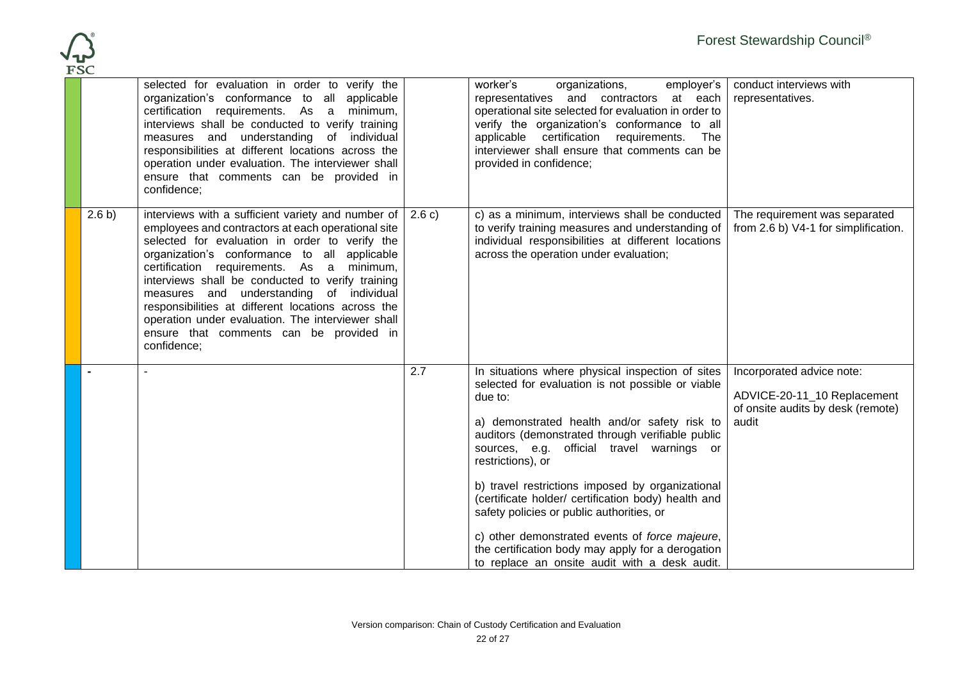

|        | selected for evaluation in order to verify the<br>organization's conformance to all applicable<br>certification requirements. As a minimum,<br>interviews shall be conducted to verify training<br>measures and understanding of individual<br>responsibilities at different locations across the<br>operation under evaluation. The interviewer shall<br>ensure that comments can be provided in<br>confidence;                                                                                                                     |        | worker's<br>organizations,<br>employer's<br>representatives and contractors at each<br>operational site selected for evaluation in order to<br>verify the organization's conformance to all<br>applicable certification requirements. The<br>interviewer shall ensure that comments can be<br>provided in confidence;                                                                                                                                                                                                                                                                                  | conduct interviews with<br>representatives.                                                            |
|--------|--------------------------------------------------------------------------------------------------------------------------------------------------------------------------------------------------------------------------------------------------------------------------------------------------------------------------------------------------------------------------------------------------------------------------------------------------------------------------------------------------------------------------------------|--------|--------------------------------------------------------------------------------------------------------------------------------------------------------------------------------------------------------------------------------------------------------------------------------------------------------------------------------------------------------------------------------------------------------------------------------------------------------------------------------------------------------------------------------------------------------------------------------------------------------|--------------------------------------------------------------------------------------------------------|
| 2.6 b) | interviews with a sufficient variety and number of $\vert$<br>employees and contractors at each operational site<br>selected for evaluation in order to verify the<br>organization's conformance to all applicable<br>certification requirements. As a minimum,<br>interviews shall be conducted to verify training<br>measures and understanding of individual<br>responsibilities at different locations across the<br>operation under evaluation. The interviewer shall<br>ensure that comments can be provided in<br>confidence; | 2.6 c) | c) as a minimum, interviews shall be conducted<br>to verify training measures and understanding of<br>individual responsibilities at different locations<br>across the operation under evaluation;                                                                                                                                                                                                                                                                                                                                                                                                     | The requirement was separated<br>from 2.6 b) V4-1 for simplification.                                  |
|        |                                                                                                                                                                                                                                                                                                                                                                                                                                                                                                                                      | 2.7    | In situations where physical inspection of sites<br>selected for evaluation is not possible or viable<br>due to:<br>a) demonstrated health and/or safety risk to<br>auditors (demonstrated through verifiable public<br>sources, e.g. official travel warnings or<br>restrictions), or<br>b) travel restrictions imposed by organizational<br>(certificate holder/ certification body) health and<br>safety policies or public authorities, or<br>c) other demonstrated events of force majeure,<br>the certification body may apply for a derogation<br>to replace an onsite audit with a desk audit. | Incorporated advice note:<br>ADVICE-20-11_10 Replacement<br>of onsite audits by desk (remote)<br>audit |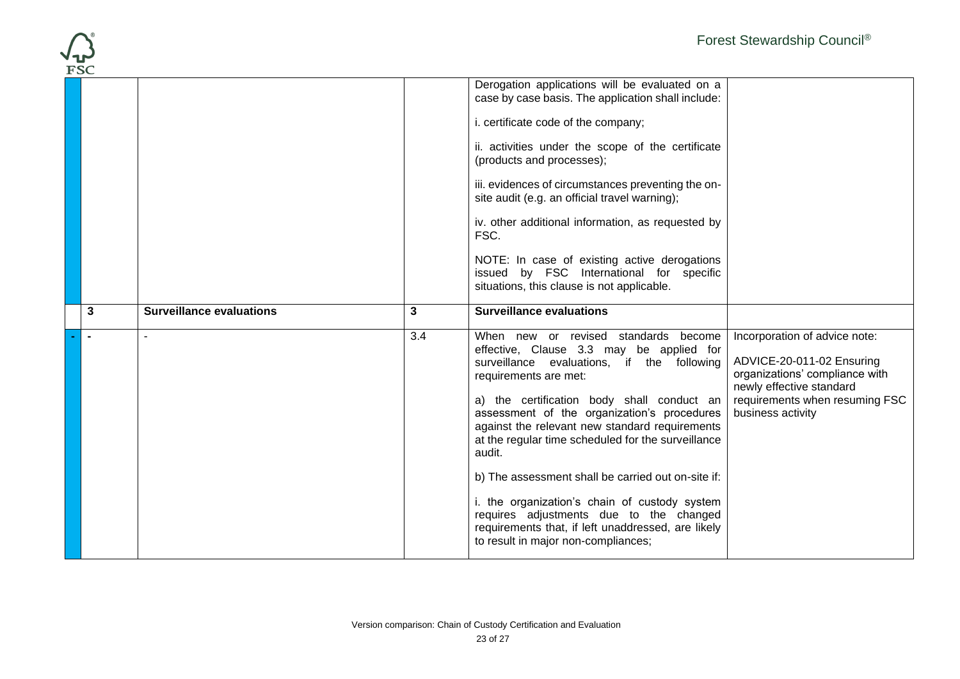| <b>FSC</b> |                                 |     |                                                                                                                                                                                                                                                                                                                                                                        |                                                                                                                                                                                 |
|------------|---------------------------------|-----|------------------------------------------------------------------------------------------------------------------------------------------------------------------------------------------------------------------------------------------------------------------------------------------------------------------------------------------------------------------------|---------------------------------------------------------------------------------------------------------------------------------------------------------------------------------|
|            |                                 |     | Derogation applications will be evaluated on a<br>case by case basis. The application shall include:                                                                                                                                                                                                                                                                   |                                                                                                                                                                                 |
|            |                                 |     | i. certificate code of the company;                                                                                                                                                                                                                                                                                                                                    |                                                                                                                                                                                 |
|            |                                 |     | ii. activities under the scope of the certificate<br>(products and processes);                                                                                                                                                                                                                                                                                         |                                                                                                                                                                                 |
|            |                                 |     | iii. evidences of circumstances preventing the on-<br>site audit (e.g. an official travel warning);                                                                                                                                                                                                                                                                    |                                                                                                                                                                                 |
|            |                                 |     | iv. other additional information, as requested by<br>FSC.                                                                                                                                                                                                                                                                                                              |                                                                                                                                                                                 |
|            |                                 |     | NOTE: In case of existing active derogations<br>issued by FSC International for specific<br>situations, this clause is not applicable.                                                                                                                                                                                                                                 |                                                                                                                                                                                 |
|            |                                 |     |                                                                                                                                                                                                                                                                                                                                                                        |                                                                                                                                                                                 |
| 3          | <b>Surveillance evaluations</b> | 3   | <b>Surveillance evaluations</b>                                                                                                                                                                                                                                                                                                                                        |                                                                                                                                                                                 |
|            | $\overline{a}$                  | 3.4 | When new or revised standards become<br>effective, Clause 3.3 may be applied for<br>surveillance evaluations, if the following<br>requirements are met:<br>a) the certification body shall conduct an<br>assessment of the organization's procedures<br>against the relevant new standard requirements<br>at the regular time scheduled for the surveillance<br>audit. | Incorporation of advice note:<br>ADVICE-20-011-02 Ensuring<br>organizations' compliance with<br>newly effective standard<br>requirements when resuming FSC<br>business activity |
|            |                                 |     | b) The assessment shall be carried out on-site if:                                                                                                                                                                                                                                                                                                                     |                                                                                                                                                                                 |

 $\sqrt{1}$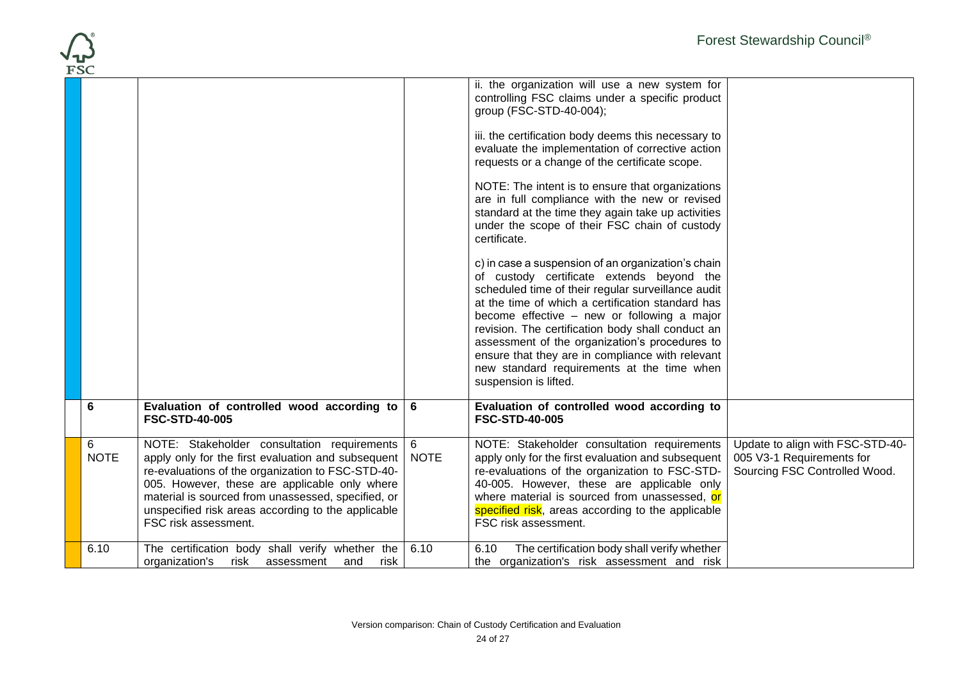|            |                  |                                                                                                                                                                                                                                                                                                                                             |                  |                                                                                                                                                                                                                                                                                                                                                                                                                                                                                                                                                                                                                                                                                                                                                                                                                                                                                                                                                | Forest Stewardship Council®                                                                    |
|------------|------------------|---------------------------------------------------------------------------------------------------------------------------------------------------------------------------------------------------------------------------------------------------------------------------------------------------------------------------------------------|------------------|------------------------------------------------------------------------------------------------------------------------------------------------------------------------------------------------------------------------------------------------------------------------------------------------------------------------------------------------------------------------------------------------------------------------------------------------------------------------------------------------------------------------------------------------------------------------------------------------------------------------------------------------------------------------------------------------------------------------------------------------------------------------------------------------------------------------------------------------------------------------------------------------------------------------------------------------|------------------------------------------------------------------------------------------------|
| <b>FSC</b> |                  |                                                                                                                                                                                                                                                                                                                                             |                  | ii. the organization will use a new system for<br>controlling FSC claims under a specific product<br>group (FSC-STD-40-004);<br>iii. the certification body deems this necessary to<br>evaluate the implementation of corrective action<br>requests or a change of the certificate scope.<br>NOTE: The intent is to ensure that organizations<br>are in full compliance with the new or revised<br>standard at the time they again take up activities<br>under the scope of their FSC chain of custody<br>certificate.<br>c) in case a suspension of an organization's chain<br>of custody certificate extends beyond the<br>scheduled time of their regular surveillance audit<br>at the time of which a certification standard has<br>become effective - new or following a major<br>revision. The certification body shall conduct an<br>assessment of the organization's procedures to<br>ensure that they are in compliance with relevant |                                                                                                |
|            |                  |                                                                                                                                                                                                                                                                                                                                             |                  | new standard requirements at the time when<br>suspension is lifted.                                                                                                                                                                                                                                                                                                                                                                                                                                                                                                                                                                                                                                                                                                                                                                                                                                                                            |                                                                                                |
|            | 6                | Evaluation of controlled wood according to<br><b>FSC-STD-40-005</b>                                                                                                                                                                                                                                                                         | 6                | Evaluation of controlled wood according to<br><b>FSC-STD-40-005</b>                                                                                                                                                                                                                                                                                                                                                                                                                                                                                                                                                                                                                                                                                                                                                                                                                                                                            |                                                                                                |
|            | 6<br><b>NOTE</b> | NOTE: Stakeholder consultation requirements<br>apply only for the first evaluation and subsequent<br>re-evaluations of the organization to FSC-STD-40-<br>005. However, these are applicable only where<br>material is sourced from unassessed, specified, or<br>unspecified risk areas according to the applicable<br>FSC risk assessment. | 6<br><b>NOTE</b> | NOTE: Stakeholder consultation requirements<br>apply only for the first evaluation and subsequent<br>re-evaluations of the organization to FSC-STD-<br>40-005. However, these are applicable only<br>where material is sourced from unassessed, or<br>specified risk, areas according to the applicable<br>FSC risk assessment.                                                                                                                                                                                                                                                                                                                                                                                                                                                                                                                                                                                                                | Update to align with FSC-STD-40-<br>005 V3-1 Requirements for<br>Sourcing FSC Controlled Wood. |
|            | 6.10             | The certification body shall verify whether the<br>organization's<br>risk<br>and<br>risk<br>assessment                                                                                                                                                                                                                                      | 6.10             | The certification body shall verify whether<br>6.10<br>the organization's risk assessment and risk                                                                                                                                                                                                                                                                                                                                                                                                                                                                                                                                                                                                                                                                                                                                                                                                                                             |                                                                                                |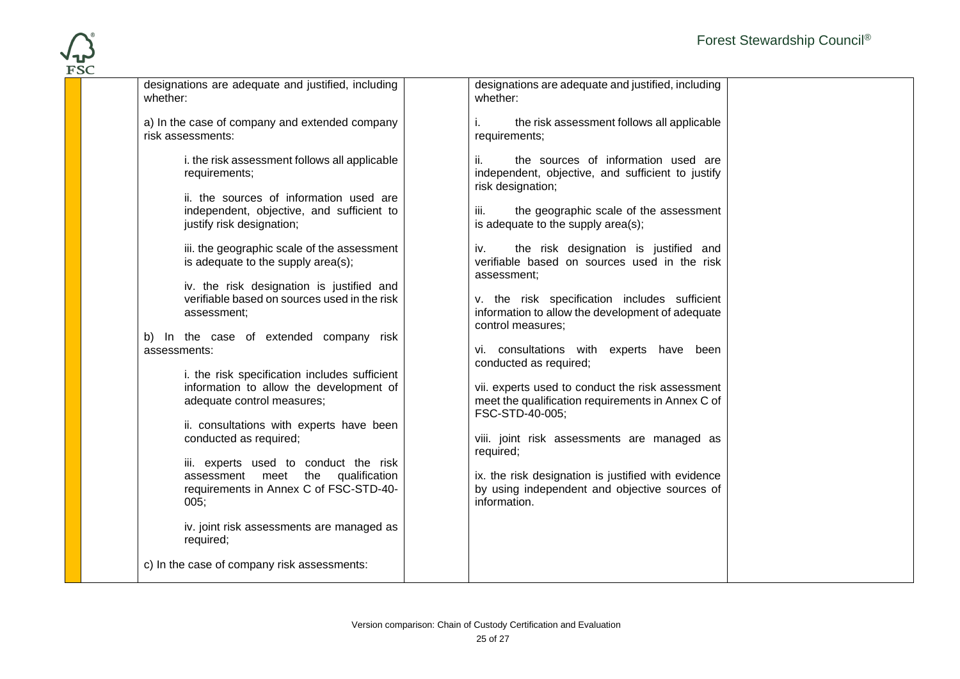| designations are adequate and justified, including<br>whether:                                           | designations are adequate and justified, including<br>whether:                                                       |  |
|----------------------------------------------------------------------------------------------------------|----------------------------------------------------------------------------------------------------------------------|--|
| a) In the case of company and extended company<br>risk assessments:                                      | the risk assessment follows all applicable<br>İ.<br>requirements;                                                    |  |
| i. the risk assessment follows all applicable<br>requirements;                                           | the sources of information used are<br>ii.<br>independent, objective, and sufficient to justify<br>risk designation; |  |
| ii. the sources of information used are                                                                  |                                                                                                                      |  |
| independent, objective, and sufficient to<br>justify risk designation;                                   | the geographic scale of the assessment<br>iii.<br>is adequate to the supply area(s);                                 |  |
|                                                                                                          |                                                                                                                      |  |
| iii. the geographic scale of the assessment<br>is adequate to the supply area(s);                        | the risk designation is justified and<br>İV.<br>verifiable based on sources used in the risk<br>assessment:          |  |
| iv. the risk designation is justified and<br>verifiable based on sources used in the risk<br>assessment; | v. the risk specification includes sufficient<br>information to allow the development of adequate                    |  |
|                                                                                                          | control measures;                                                                                                    |  |
| b) In the case of extended company risk                                                                  |                                                                                                                      |  |
| assessments:                                                                                             | vi. consultations with experts have been<br>conducted as required;                                                   |  |
| i. the risk specification includes sufficient                                                            |                                                                                                                      |  |
| information to allow the development of<br>adequate control measures;                                    | vii. experts used to conduct the risk assessment<br>meet the qualification requirements in Annex C of                |  |
|                                                                                                          | FSC-STD-40-005;                                                                                                      |  |
| ii. consultations with experts have been<br>conducted as required;                                       | viii. joint risk assessments are managed as                                                                          |  |
|                                                                                                          | required;                                                                                                            |  |
| iii. experts used to conduct the risk                                                                    |                                                                                                                      |  |
| qualification<br>assessment meet the                                                                     | ix. the risk designation is justified with evidence                                                                  |  |
| requirements in Annex C of FSC-STD-40-                                                                   | by using independent and objective sources of                                                                        |  |
| 005;                                                                                                     | information.                                                                                                         |  |
|                                                                                                          |                                                                                                                      |  |
| iv. joint risk assessments are managed as<br>required;                                                   |                                                                                                                      |  |
| c) In the case of company risk assessments:                                                              |                                                                                                                      |  |
|                                                                                                          |                                                                                                                      |  |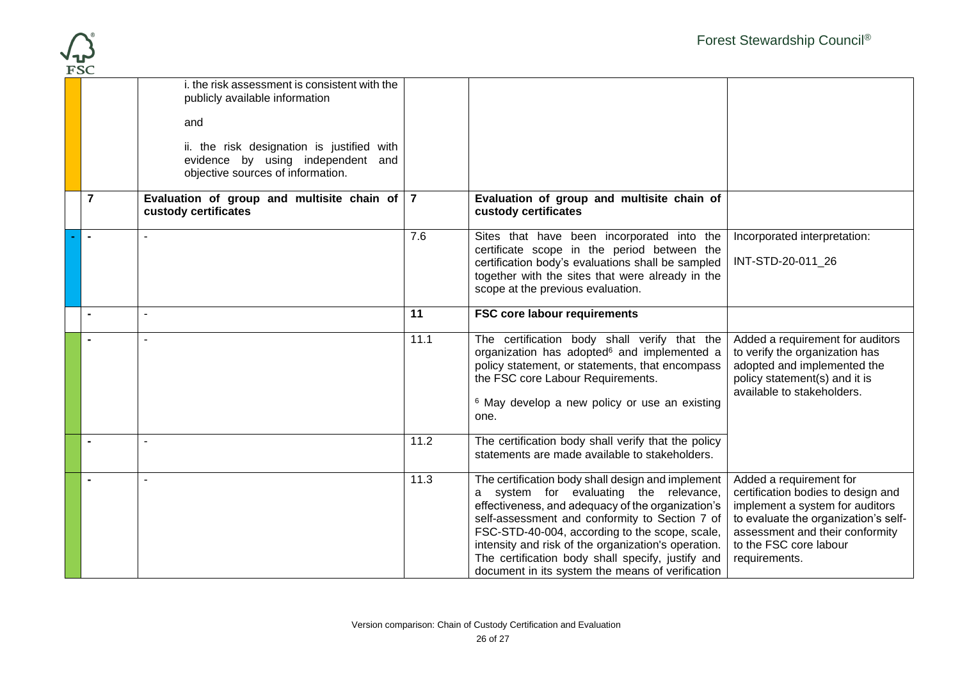

|                | i. the risk assessment is consistent with the<br>publicly available information                                      |      |                                                                                                                                                                                                                                                                                                                                                                                                                      |                                                                                                                                                                                                                        |
|----------------|----------------------------------------------------------------------------------------------------------------------|------|----------------------------------------------------------------------------------------------------------------------------------------------------------------------------------------------------------------------------------------------------------------------------------------------------------------------------------------------------------------------------------------------------------------------|------------------------------------------------------------------------------------------------------------------------------------------------------------------------------------------------------------------------|
|                | and                                                                                                                  |      |                                                                                                                                                                                                                                                                                                                                                                                                                      |                                                                                                                                                                                                                        |
|                | ii. the risk designation is justified with<br>evidence by using independent and<br>objective sources of information. |      |                                                                                                                                                                                                                                                                                                                                                                                                                      |                                                                                                                                                                                                                        |
| $\overline{7}$ | Evaluation of group and multisite chain of $ 7 $<br>custody certificates                                             |      | Evaluation of group and multisite chain of<br>custody certificates                                                                                                                                                                                                                                                                                                                                                   |                                                                                                                                                                                                                        |
|                |                                                                                                                      | 7.6  | Sites that have been incorporated into the<br>certificate scope in the period between the<br>certification body's evaluations shall be sampled<br>together with the sites that were already in the<br>scope at the previous evaluation.                                                                                                                                                                              | Incorporated interpretation:<br>INT-STD-20-011 26                                                                                                                                                                      |
| $\blacksquare$ |                                                                                                                      | 11   | <b>FSC core labour requirements</b>                                                                                                                                                                                                                                                                                                                                                                                  |                                                                                                                                                                                                                        |
| $\blacksquare$ |                                                                                                                      | 11.1 | The certification body shall verify that the<br>organization has adopted <sup>6</sup> and implemented a<br>policy statement, or statements, that encompass<br>the FSC core Labour Requirements.<br><sup>6</sup> May develop a new policy or use an existing<br>one.                                                                                                                                                  | Added a requirement for auditors<br>to verify the organization has<br>adopted and implemented the<br>policy statement(s) and it is<br>available to stakeholders.                                                       |
| $\blacksquare$ |                                                                                                                      | 11.2 | The certification body shall verify that the policy<br>statements are made available to stakeholders.                                                                                                                                                                                                                                                                                                                |                                                                                                                                                                                                                        |
| $\blacksquare$ |                                                                                                                      | 11.3 | The certification body shall design and implement<br>a system for evaluating the relevance,<br>effectiveness, and adequacy of the organization's<br>self-assessment and conformity to Section 7 of<br>FSC-STD-40-004, according to the scope, scale,<br>intensity and risk of the organization's operation.<br>The certification body shall specify, justify and<br>document in its system the means of verification | Added a requirement for<br>certification bodies to design and<br>implement a system for auditors<br>to evaluate the organization's self-<br>assessment and their conformity<br>to the FSC core labour<br>requirements. |